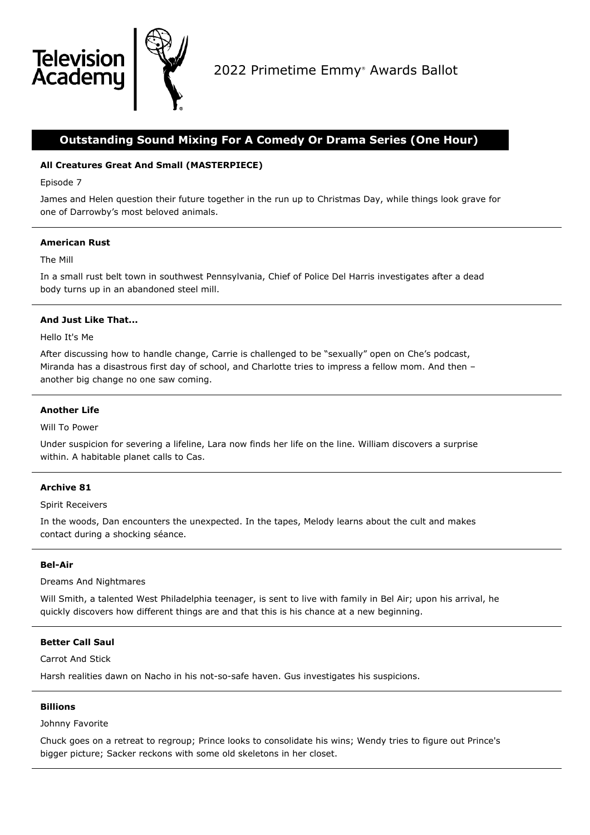

# **Outstanding Sound Mixing For A Comedy Or Drama Series (One Hour)**

# **All Creatures Great And Small (MASTERPIECE)**

Episode 7

**Televisio** 

Academu

James and Helen question their future together in the run up to Christmas Day, while things look grave for one of Darrowby's most beloved animals.

## **American Rust**

## The Mill

In a small rust belt town in southwest Pennsylvania, Chief of Police Del Harris investigates after a dead body turns up in an abandoned steel mill.

# **And Just Like That...**

Hello It's Me

After discussing how to handle change, Carrie is challenged to be "sexually" open on Che's podcast, Miranda has a disastrous first day of school, and Charlotte tries to impress a fellow mom. And then – another big change no one saw coming.

## **Another Life**

Will To Power

Under suspicion for severing a lifeline, Lara now finds her life on the line. William discovers a surprise within. A habitable planet calls to Cas.

# **Archive 81**

Spirit Receivers

In the woods, Dan encounters the unexpected. In the tapes, Melody learns about the cult and makes contact during a shocking séance.

## **Bel-Air**

Dreams And Nightmares

Will Smith, a talented West Philadelphia teenager, is sent to live with family in Bel Air; upon his arrival, he quickly discovers how different things are and that this is his chance at a new beginning.

# **Better Call Saul**

Carrot And Stick

Harsh realities dawn on Nacho in his not-so-safe haven. Gus investigates his suspicions.

## **Billions**

Johnny Favorite

Chuck goes on a retreat to regroup; Prince looks to consolidate his wins; Wendy tries to figure out Prince's bigger picture; Sacker reckons with some old skeletons in her closet.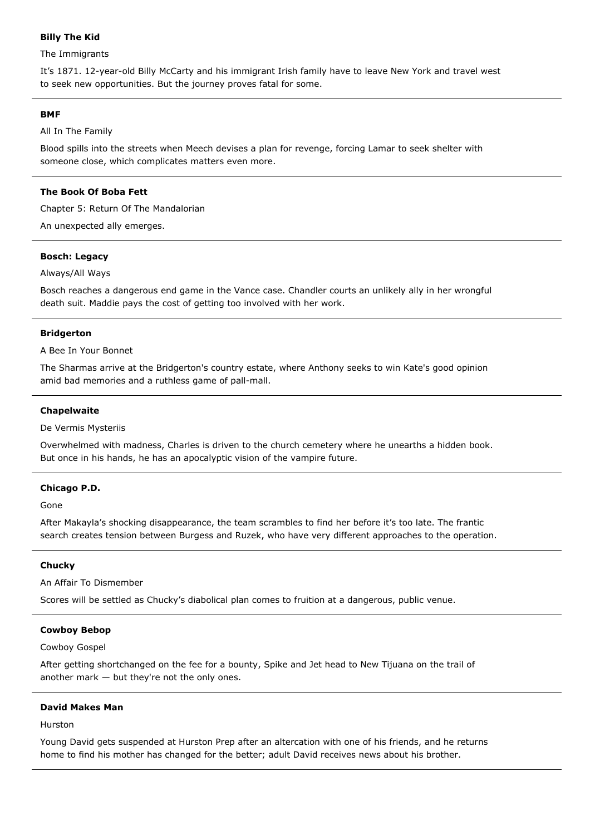# **Billy The Kid**

The Immigrants

It's 1871. 12-year-old Billy McCarty and his immigrant Irish family have to leave New York and travel west to seek new opportunities. But the journey proves fatal for some.

### **BMF**

All In The Family

Blood spills into the streets when Meech devises a plan for revenge, forcing Lamar to seek shelter with someone close, which complicates matters even more.

## **The Book Of Boba Fett**

Chapter 5: Return Of The Mandalorian

An unexpected ally emerges.

## **Bosch: Legacy**

Always/All Ways

Bosch reaches a dangerous end game in the Vance case. Chandler courts an unlikely ally in her wrongful death suit. Maddie pays the cost of getting too involved with her work.

### **Bridgerton**

A Bee In Your Bonnet

The Sharmas arrive at the Bridgerton's country estate, where Anthony seeks to win Kate's good opinion amid bad memories and a ruthless game of pall-mall.

### **Chapelwaite**

De Vermis Mysteriis

Overwhelmed with madness, Charles is driven to the church cemetery where he unearths a hidden book. But once in his hands, he has an apocalyptic vision of the vampire future.

## **Chicago P.D.**

Gone

After Makayla's shocking disappearance, the team scrambles to find her before it's too late. The frantic search creates tension between Burgess and Ruzek, who have very different approaches to the operation.

### **Chucky**

An Affair To Dismember

Scores will be settled as Chucky's diabolical plan comes to fruition at a dangerous, public venue.

### **Cowboy Bebop**

Cowboy Gospel

After getting shortchanged on the fee for a bounty, Spike and Jet head to New Tijuana on the trail of another mark — but they're not the only ones.

### **David Makes Man**

Hurston

Young David gets suspended at Hurston Prep after an altercation with one of his friends, and he returns home to find his mother has changed for the better; adult David receives news about his brother.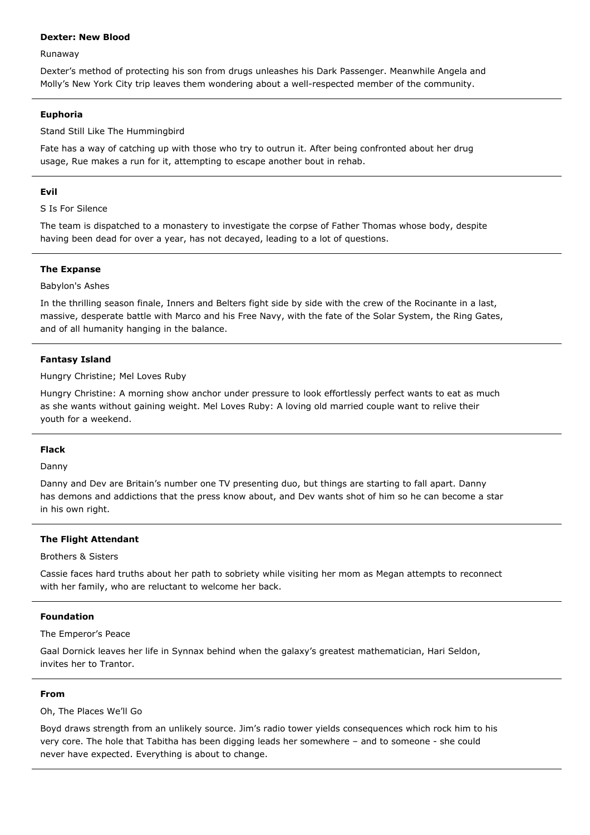## **Dexter: New Blood**

Runaway

Dexter's method of protecting his son from drugs unleashes his Dark Passenger. Meanwhile Angela and Molly's New York City trip leaves them wondering about a well-respected member of the community.

## **Euphoria**

Stand Still Like The Hummingbird

Fate has a way of catching up with those who try to outrun it. After being confronted about her drug usage, Rue makes a run for it, attempting to escape another bout in rehab.

## **Evil**

S Is For Silence

The team is dispatched to a monastery to investigate the corpse of Father Thomas whose body, despite having been dead for over a year, has not decayed, leading to a lot of questions.

## **The Expanse**

## Babylon's Ashes

In the thrilling season finale, Inners and Belters fight side by side with the crew of the Rocinante in a last, massive, desperate battle with Marco and his Free Navy, with the fate of the Solar System, the Ring Gates, and of all humanity hanging in the balance.

## **Fantasy Island**

Hungry Christine; Mel Loves Ruby

Hungry Christine: A morning show anchor under pressure to look effortlessly perfect wants to eat as much as she wants without gaining weight. Mel Loves Ruby: A loving old married couple want to relive their youth for a weekend.

## **Flack**

Danny

Danny and Dev are Britain's number one TV presenting duo, but things are starting to fall apart. Danny has demons and addictions that the press know about, and Dev wants shot of him so he can become a star in his own right.

## **The Flight Attendant**

Brothers & Sisters

Cassie faces hard truths about her path to sobriety while visiting her mom as Megan attempts to reconnect with her family, who are reluctant to welcome her back.

## **Foundation**

The Emperor's Peace

Gaal Dornick leaves her life in Synnax behind when the galaxy's greatest mathematician, Hari Seldon, invites her to Trantor.

## **From**

Oh, The Places We'll Go

Boyd draws strength from an unlikely source. Jim's radio tower yields consequences which rock him to his very core. The hole that Tabitha has been digging leads her somewhere – and to someone - she could never have expected. Everything is about to change.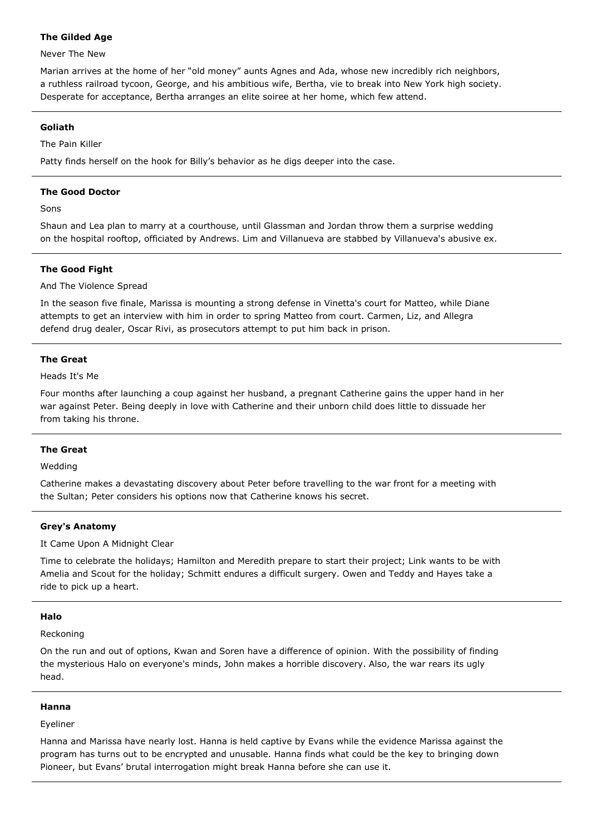## **The Gilded Age**

## Never The New

Marian arrives at the home of her "old money" aunts Agnes and Ada, whose new incredibly rich neighbors, a ruthless railroad tycoon, George, and his ambitious wife, Bertha, vie to break into New York high society. Desperate for acceptance, Bertha arranges an elite soiree at her home, which few attend.

## **Goliath**

The Pain Killer

Patty finds herself on the hook for Billy's behavior as he digs deeper into the case.

## **The Good Doctor**

Sons

Shaun and Lea plan to marry at a courthouse, until Glassman and Jordan throw them a surprise wedding on the hospital rooftop, officiated by Andrews. Lim and Villanueva are stabbed by Villanueva's abusive ex.

# **The Good Fight**

## And The Violence Spread

In the season five finale, Marissa is mounting a strong defense in Vinetta's court for Matteo, while Diane attempts to get an interview with him in order to spring Matteo from court. Carmen, Liz, and Allegra defend drug dealer, Oscar Rivi, as prosecutors attempt to put him back in prison.

## **The Great**

Heads It's Me

Four months after launching a coup against her husband, a pregnant Catherine gains the upper hand in her war against Peter. Being deeply in love with Catherine and their unborn child does little to dissuade her from taking his throne.

# **The Great**

Wedding

Catherine makes a devastating discovery about Peter before travelling to the war front for a meeting with the Sultan; Peter considers his options now that Catherine knows his secret.

# **Grey's Anatomy**

It Came Upon A Midnight Clear

Time to celebrate the holidays; Hamilton and Meredith prepare to start their project; Link wants to be with Amelia and Scout for the holiday; Schmitt endures a difficult surgery. Owen and Teddy and Hayes take a ride to pick up a heart.

## **Halo**

Reckoning

On the run and out of options, Kwan and Soren have a difference of opinion. With the possibility of finding the mysterious Halo on everyone's minds, John makes a horrible discovery. Also, the war rears its ugly head.

## **Hanna**

Eyeliner

Hanna and Marissa have nearly lost. Hanna is held captive by Evans while the evidence Marissa against the program has turns out to be encrypted and unusable. Hanna finds what could be the key to bringing down Pioneer, but Evans' brutal interrogation might break Hanna before she can use it.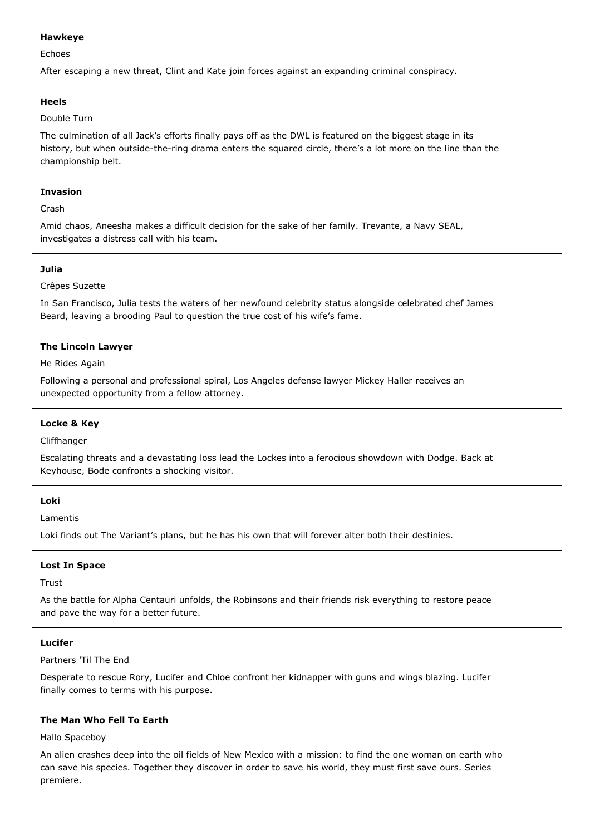## **Hawkeye**

Echoes

After escaping a new threat, Clint and Kate join forces against an expanding criminal conspiracy.

## **Heels**

## Double Turn

The culmination of all Jack's efforts finally pays off as the DWL is featured on the biggest stage in its history, but when outside-the-ring drama enters the squared circle, there's a lot more on the line than the championship belt.

## **Invasion**

Crash

Amid chaos, Aneesha makes a difficult decision for the sake of her family. Trevante, a Navy SEAL, investigates a distress call with his team.

## **Julia**

## Crêpes Suzette

In San Francisco, Julia tests the waters of her newfound celebrity status alongside celebrated chef James Beard, leaving a brooding Paul to question the true cost of his wife's fame.

# **The Lincoln Lawyer**

He Rides Again

Following a personal and professional spiral, Los Angeles defense lawyer Mickey Haller receives an unexpected opportunity from a fellow attorney.

# **Locke & Key**

Cliffhanger

Escalating threats and a devastating loss lead the Lockes into a ferocious showdown with Dodge. Back at Keyhouse, Bode confronts a shocking visitor.

## **Loki**

Lamentis

Loki finds out The Variant's plans, but he has his own that will forever alter both their destinies.

## **Lost In Space**

Trust

As the battle for Alpha Centauri unfolds, the Robinsons and their friends risk everything to restore peace and pave the way for a better future.

## **Lucifer**

Partners 'Til The End

Desperate to rescue Rory, Lucifer and Chloe confront her kidnapper with guns and wings blazing. Lucifer finally comes to terms with his purpose.

## **The Man Who Fell To Earth**

Hallo Spaceboy

An alien crashes deep into the oil fields of New Mexico with a mission: to find the one woman on earth who can save his species. Together they discover in order to save his world, they must first save ours. Series premiere.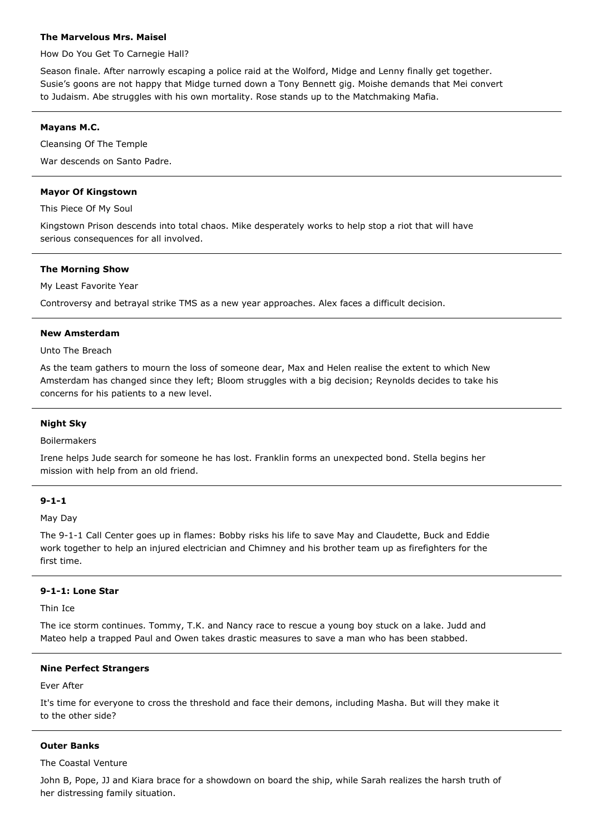## **The Marvelous Mrs. Maisel**

How Do You Get To Carnegie Hall?

Season finale. After narrowly escaping a police raid at the Wolford, Midge and Lenny finally get together. Susie's goons are not happy that Midge turned down a Tony Bennett gig. Moishe demands that Mei convert to Judaism. Abe struggles with his own mortality. Rose stands up to the Matchmaking Mafia.

## **Mayans M.C.**

Cleansing Of The Temple War descends on Santo Padre.

## **Mayor Of Kingstown**

This Piece Of My Soul

Kingstown Prison descends into total chaos. Mike desperately works to help stop a riot that will have serious consequences for all involved.

## **The Morning Show**

My Least Favorite Year

Controversy and betrayal strike TMS as a new year approaches. Alex faces a difficult decision.

## **New Amsterdam**

## Unto The Breach

As the team gathers to mourn the loss of someone dear, Max and Helen realise the extent to which New Amsterdam has changed since they left; Bloom struggles with a big decision; Reynolds decides to take his concerns for his patients to a new level.

## **Night Sky**

## Boilermakers

Irene helps Jude search for someone he has lost. Franklin forms an unexpected bond. Stella begins her mission with help from an old friend.

## **9-1-1**

May Day

The 9-1-1 Call Center goes up in flames: Bobby risks his life to save May and Claudette, Buck and Eddie work together to help an injured electrician and Chimney and his brother team up as firefighters for the first time.

# **9-1-1: Lone Star**

Thin Ice

The ice storm continues. Tommy, T.K. and Nancy race to rescue a young boy stuck on a lake. Judd and Mateo help a trapped Paul and Owen takes drastic measures to save a man who has been stabbed.

## **Nine Perfect Strangers**

### Ever After

It's time for everyone to cross the threshold and face their demons, including Masha. But will they make it to the other side?

## **Outer Banks**

## The Coastal Venture

John B, Pope, JJ and Kiara brace for a showdown on board the ship, while Sarah realizes the harsh truth of her distressing family situation.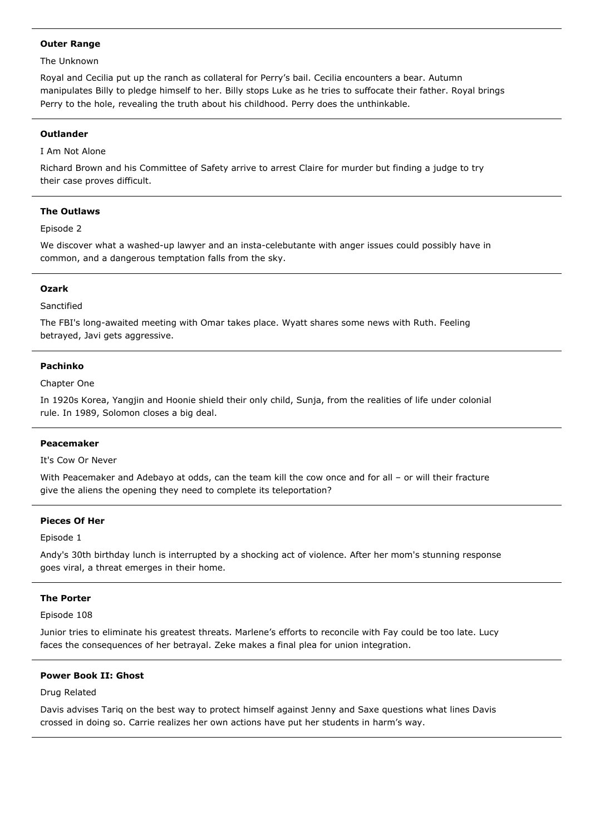## **Outer Range**

### The Unknown

Royal and Cecilia put up the ranch as collateral for Perry's bail. Cecilia encounters a bear. Autumn manipulates Billy to pledge himself to her. Billy stops Luke as he tries to suffocate their father. Royal brings Perry to the hole, revealing the truth about his childhood. Perry does the unthinkable.

### **Outlander**

# I Am Not Alone

Richard Brown and his Committee of Safety arrive to arrest Claire for murder but finding a judge to try their case proves difficult.

## **The Outlaws**

### Episode 2

We discover what a washed-up lawyer and an insta-celebutante with anger issues could possibly have in common, and a dangerous temptation falls from the sky.

### **Ozark**

### Sanctified

The FBI's long-awaited meeting with Omar takes place. Wyatt shares some news with Ruth. Feeling betrayed, Javi gets aggressive.

## **Pachinko**

### Chapter One

In 1920s Korea, Yangjin and Hoonie shield their only child, Sunja, from the realities of life under colonial rule. In 1989, Solomon closes a big deal.

### **Peacemaker**

It's Cow Or Never

With Peacemaker and Adebayo at odds, can the team kill the cow once and for all – or will their fracture give the aliens the opening they need to complete its teleportation?

## **Pieces Of Her**

### Episode 1

Andy's 30th birthday lunch is interrupted by a shocking act of violence. After her mom's stunning response goes viral, a threat emerges in their home.

### **The Porter**

## Episode 108

Junior tries to eliminate his greatest threats. Marlene's efforts to reconcile with Fay could be too late. Lucy faces the consequences of her betrayal. Zeke makes a final plea for union integration.

# **Power Book II: Ghost**

### Drug Related

Davis advises Tariq on the best way to protect himself against Jenny and Saxe questions what lines Davis crossed in doing so. Carrie realizes her own actions have put her students in harm's way.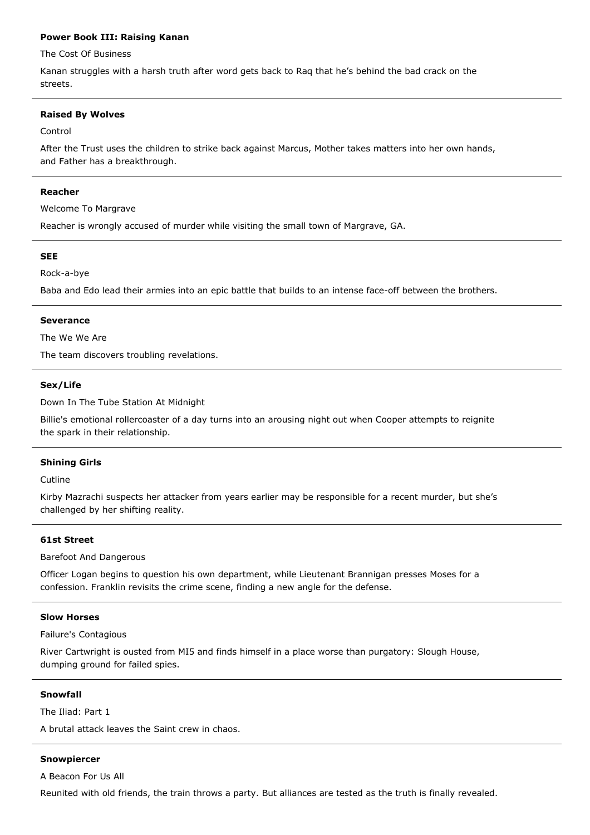## **Power Book III: Raising Kanan**

The Cost Of Business

Kanan struggles with a harsh truth after word gets back to Raq that he's behind the bad crack on the streets.

## **Raised By Wolves**

### Control

After the Trust uses the children to strike back against Marcus, Mother takes matters into her own hands, and Father has a breakthrough.

### **Reacher**

Welcome To Margrave

Reacher is wrongly accused of murder while visiting the small town of Margrave, GA.

## **SEE**

Rock-a-bye

Baba and Edo lead their armies into an epic battle that builds to an intense face-off between the brothers.

## **Severance**

The We We Are

The team discovers troubling revelations.

## **Sex/Life**

Down In The Tube Station At Midnight

Billie's emotional rollercoaster of a day turns into an arousing night out when Cooper attempts to reignite the spark in their relationship.

## **Shining Girls**

Cutline

Kirby Mazrachi suspects her attacker from years earlier may be responsible for a recent murder, but she's challenged by her shifting reality.

## **61st Street**

Barefoot And Dangerous

Officer Logan begins to question his own department, while Lieutenant Brannigan presses Moses for a confession. Franklin revisits the crime scene, finding a new angle for the defense.

### **Slow Horses**

Failure's Contagious

River Cartwright is ousted from MI5 and finds himself in a place worse than purgatory: Slough House, dumping ground for failed spies.

### **Snowfall**

The Iliad: Part 1

A brutal attack leaves the Saint crew in chaos.

## **Snowpiercer**

A Beacon For Us All

Reunited with old friends, the train throws a party. But alliances are tested as the truth is finally revealed.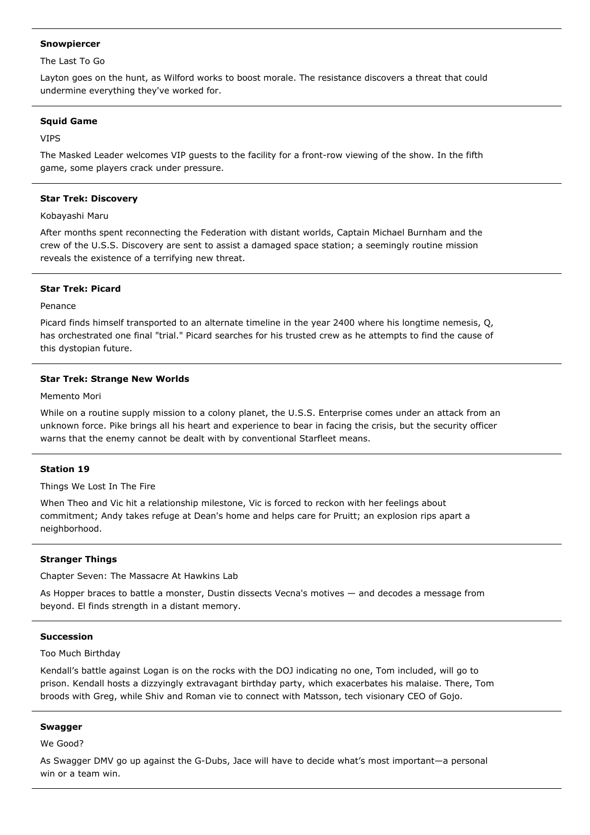## **Snowpiercer**

The Last To Go

Layton goes on the hunt, as Wilford works to boost morale. The resistance discovers a threat that could undermine everything they've worked for.

## **Squid Game**

VIPS

The Masked Leader welcomes VIP guests to the facility for a front-row viewing of the show. In the fifth game, some players crack under pressure.

## **Star Trek: Discovery**

Kobayashi Maru

After months spent reconnecting the Federation with distant worlds, Captain Michael Burnham and the crew of the U.S.S. Discovery are sent to assist a damaged space station; a seemingly routine mission reveals the existence of a terrifying new threat.

# **Star Trek: Picard**

Penance

Picard finds himself transported to an alternate timeline in the year 2400 where his longtime nemesis, Q, has orchestrated one final "trial." Picard searches for his trusted crew as he attempts to find the cause of this dystopian future.

# **Star Trek: Strange New Worlds**

Memento Mori

While on a routine supply mission to a colony planet, the U.S.S. Enterprise comes under an attack from an unknown force. Pike brings all his heart and experience to bear in facing the crisis, but the security officer warns that the enemy cannot be dealt with by conventional Starfleet means.

# **Station 19**

Things We Lost In The Fire

When Theo and Vic hit a relationship milestone, Vic is forced to reckon with her feelings about commitment; Andy takes refuge at Dean's home and helps care for Pruitt; an explosion rips apart a neighborhood.

## **Stranger Things**

Chapter Seven: The Massacre At Hawkins Lab

As Hopper braces to battle a monster, Dustin dissects Vecna's motives — and decodes a message from beyond. El finds strength in a distant memory.

## **Succession**

Too Much Birthday

Kendall's battle against Logan is on the rocks with the DOJ indicating no one, Tom included, will go to prison. Kendall hosts a dizzyingly extravagant birthday party, which exacerbates his malaise. There, Tom broods with Greg, while Shiv and Roman vie to connect with Matsson, tech visionary CEO of Gojo.

## **Swagger**

We Good?

As Swagger DMV go up against the G-Dubs, Jace will have to decide what's most important—a personal win or a team win.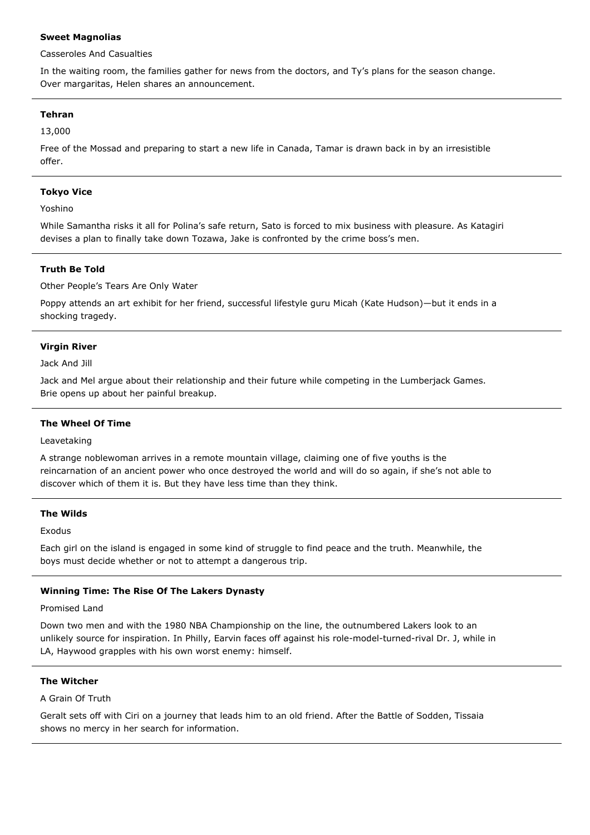## **Sweet Magnolias**

Casseroles And Casualties

In the waiting room, the families gather for news from the doctors, and Ty's plans for the season change. Over margaritas, Helen shares an announcement.

# **Tehran**

13,000

Free of the Mossad and preparing to start a new life in Canada, Tamar is drawn back in by an irresistible offer.

## **Tokyo Vice**

Yoshino

While Samantha risks it all for Polina's safe return, Sato is forced to mix business with pleasure. As Katagiri devises a plan to finally take down Tozawa, Jake is confronted by the crime boss's men.

## **Truth Be Told**

Other People's Tears Are Only Water

Poppy attends an art exhibit for her friend, successful lifestyle guru Micah (Kate Hudson)—but it ends in a shocking tragedy.

## **Virgin River**

Jack And Jill

Jack and Mel argue about their relationship and their future while competing in the Lumberjack Games. Brie opens up about her painful breakup.

## **The Wheel Of Time**

Leavetaking

A strange noblewoman arrives in a remote mountain village, claiming one of five youths is the reincarnation of an ancient power who once destroyed the world and will do so again, if she's not able to discover which of them it is. But they have less time than they think.

# **The Wilds**

Exodus

Each girl on the island is engaged in some kind of struggle to find peace and the truth. Meanwhile, the boys must decide whether or not to attempt a dangerous trip.

# **Winning Time: The Rise Of The Lakers Dynasty**

Promised Land

Down two men and with the 1980 NBA Championship on the line, the outnumbered Lakers look to an unlikely source for inspiration. In Philly, Earvin faces off against his role-model-turned-rival Dr. J, while in LA, Haywood grapples with his own worst enemy: himself.

## **The Witcher**

A Grain Of Truth

Geralt sets off with Ciri on a journey that leads him to an old friend. After the Battle of Sodden, Tissaia shows no mercy in her search for information.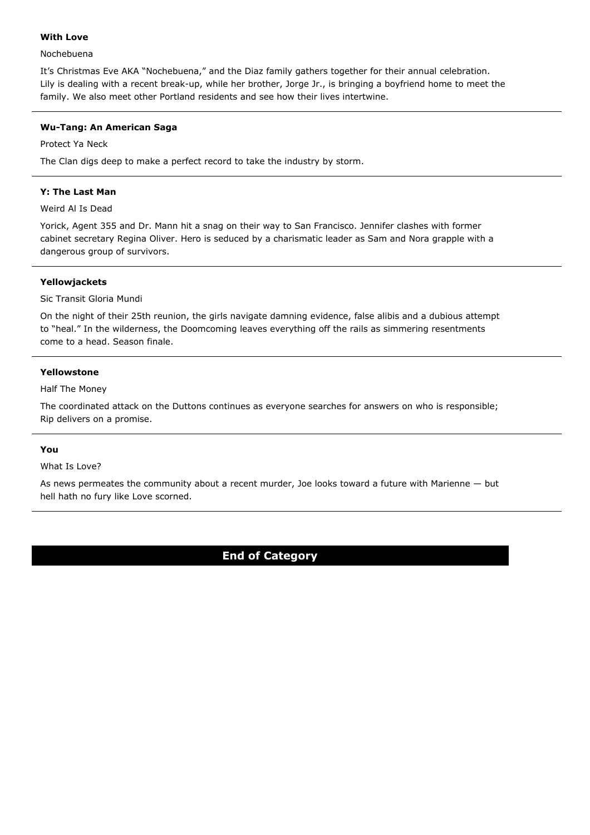## **With Love**

## Nochebuena

It's Christmas Eve AKA "Nochebuena," and the Diaz family gathers together for their annual celebration. Lily is dealing with a recent break-up, while her brother, Jorge Jr., is bringing a boyfriend home to meet the family. We also meet other Portland residents and see how their lives intertwine.

# **Wu-Tang: An American Saga**

Protect Ya Neck

The Clan digs deep to make a perfect record to take the industry by storm.

## **Y: The Last Man**

## Weird Al Is Dead

Yorick, Agent 355 and Dr. Mann hit a snag on their way to San Francisco. Jennifer clashes with former cabinet secretary Regina Oliver. Hero is seduced by a charismatic leader as Sam and Nora grapple with a dangerous group of survivors.

# **Yellowjackets**

# Sic Transit Gloria Mundi

On the night of their 25th reunion, the girls navigate damning evidence, false alibis and a dubious attempt to "heal." In the wilderness, the Doomcoming leaves everything off the rails as simmering resentments come to a head. Season finale.

# **Yellowstone**

Half The Money

The coordinated attack on the Duttons continues as everyone searches for answers on who is responsible; Rip delivers on a promise.

# **You**

# What Is Love?

As news permeates the community about a recent murder, Joe looks toward a future with Marienne — but hell hath no fury like Love scorned.

# **End of Category**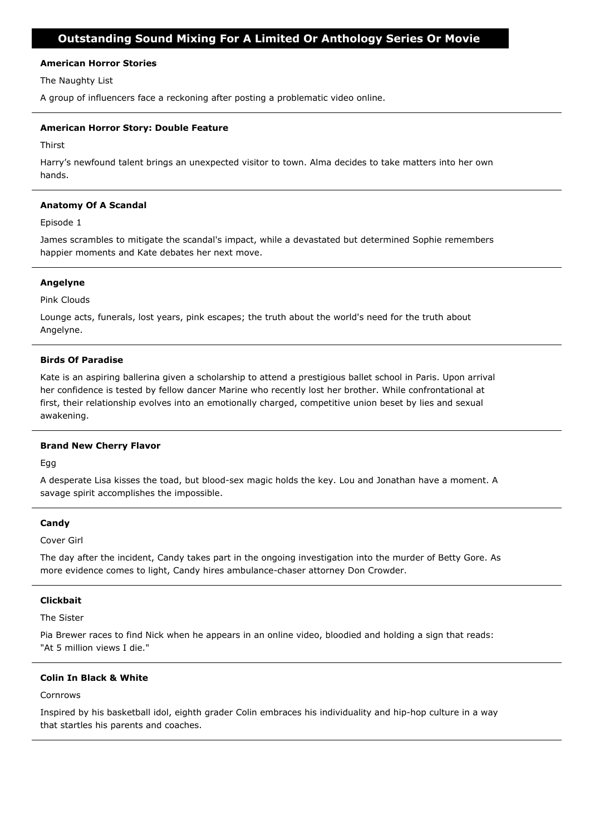## **American Horror Stories**

The Naughty List

A group of influencers face a reckoning after posting a problematic video online.

## **American Horror Story: Double Feature**

Thirst

Harry's newfound talent brings an unexpected visitor to town. Alma decides to take matters into her own hands.

## **Anatomy Of A Scandal**

Episode 1

James scrambles to mitigate the scandal's impact, while a devastated but determined Sophie remembers happier moments and Kate debates her next move.

## **Angelyne**

Pink Clouds

Lounge acts, funerals, lost years, pink escapes; the truth about the world's need for the truth about Angelyne.

## **Birds Of Paradise**

Kate is an aspiring ballerina given a scholarship to attend a prestigious ballet school in Paris. Upon arrival her confidence is tested by fellow dancer Marine who recently lost her brother. While confrontational at first, their relationship evolves into an emotionally charged, competitive union beset by lies and sexual awakening.

## **Brand New Cherry Flavor**

Egg

A desperate Lisa kisses the toad, but blood-sex magic holds the key. Lou and Jonathan have a moment. A savage spirit accomplishes the impossible.

## **Candy**

Cover Girl

The day after the incident, Candy takes part in the ongoing investigation into the murder of Betty Gore. As more evidence comes to light, Candy hires ambulance-chaser attorney Don Crowder.

## **Clickbait**

The Sister

Pia Brewer races to find Nick when he appears in an online video, bloodied and holding a sign that reads: "At 5 million views I die."

# **Colin In Black & White**

Cornrows

Inspired by his basketball idol, eighth grader Colin embraces his individuality and hip-hop culture in a way that startles his parents and coaches.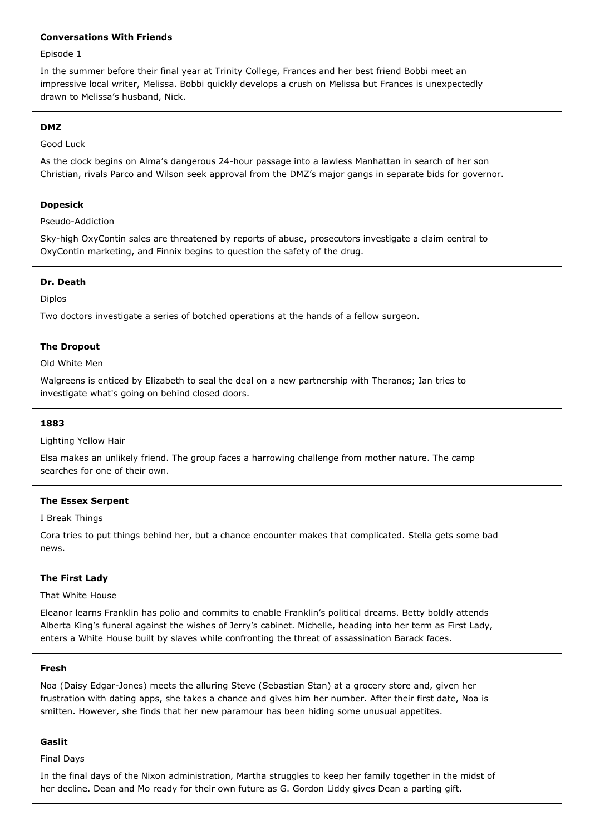# **Conversations With Friends**

## Episode 1

In the summer before their final year at Trinity College, Frances and her best friend Bobbi meet an impressive local writer, Melissa. Bobbi quickly develops a crush on Melissa but Frances is unexpectedly drawn to Melissa's husband, Nick.

### **DMZ**

### Good Luck

As the clock begins on Alma's dangerous 24-hour passage into a lawless Manhattan in search of her son Christian, rivals Parco and Wilson seek approval from the DMZ's major gangs in separate bids for governor.

### **Dopesick**

Pseudo-Addiction

Sky-high OxyContin sales are threatened by reports of abuse, prosecutors investigate a claim central to OxyContin marketing, and Finnix begins to question the safety of the drug.

### **Dr. Death**

Diplos

Two doctors investigate a series of botched operations at the hands of a fellow surgeon.

### **The Dropout**

Old White Men

Walgreens is enticed by Elizabeth to seal the deal on a new partnership with Theranos; Ian tries to investigate what's going on behind closed doors.

### **1883**

Lighting Yellow Hair

Elsa makes an unlikely friend. The group faces a harrowing challenge from mother nature. The camp searches for one of their own.

### **The Essex Serpent**

I Break Things

Cora tries to put things behind her, but a chance encounter makes that complicated. Stella gets some bad news.

## **The First Lady**

## That White House

Eleanor learns Franklin has polio and commits to enable Franklin's political dreams. Betty boldly attends Alberta King's funeral against the wishes of Jerry's cabinet. Michelle, heading into her term as First Lady, enters a White House built by slaves while confronting the threat of assassination Barack faces.

### **Fresh**

Noa (Daisy Edgar-Jones) meets the alluring Steve (Sebastian Stan) at a grocery store and, given her frustration with dating apps, she takes a chance and gives him her number. After their first date, Noa is smitten. However, she finds that her new paramour has been hiding some unusual appetites.

## **Gaslit**

Final Days

In the final days of the Nixon administration, Martha struggles to keep her family together in the midst of her decline. Dean and Mo ready for their own future as G. Gordon Liddy gives Dean a parting gift.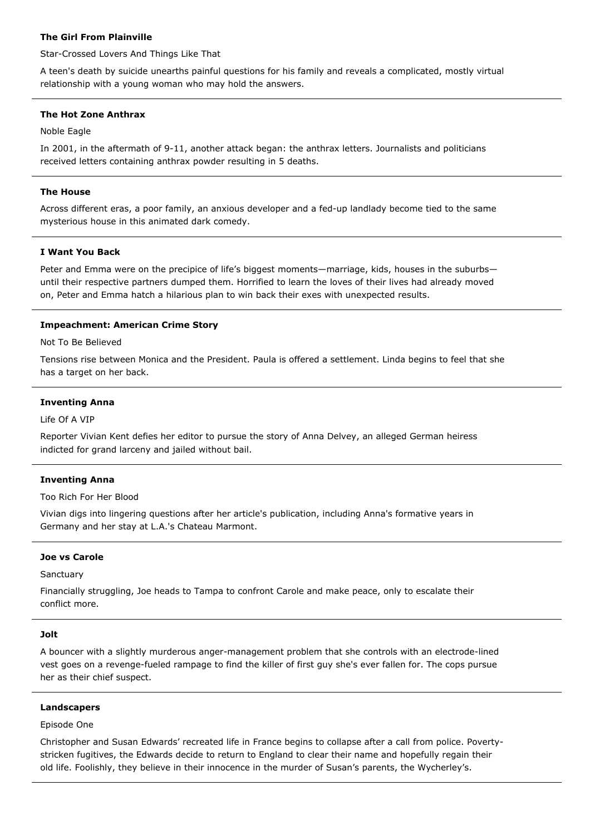## **The Girl From Plainville**

Star-Crossed Lovers And Things Like That

A teen's death by suicide unearths painful questions for his family and reveals a complicated, mostly virtual relationship with a young woman who may hold the answers.

## **The Hot Zone Anthrax**

Noble Eagle

In 2001, in the aftermath of 9-11, another attack began: the anthrax letters. Journalists and politicians received letters containing anthrax powder resulting in 5 deaths.

## **The House**

Across different eras, a poor family, an anxious developer and a fed-up landlady become tied to the same mysterious house in this animated dark comedy.

## **I Want You Back**

Peter and Emma were on the precipice of life's biggest moments—marriage, kids, houses in the suburbs until their respective partners dumped them. Horrified to learn the loves of their lives had already moved on, Peter and Emma hatch a hilarious plan to win back their exes with unexpected results.

# **Impeachment: American Crime Story**

Not To Be Believed

Tensions rise between Monica and the President. Paula is offered a settlement. Linda begins to feel that she has a target on her back.

### **Inventing Anna**

Life Of A VIP

Reporter Vivian Kent defies her editor to pursue the story of Anna Delvey, an alleged German heiress indicted for grand larceny and jailed without bail.

## **Inventing Anna**

Too Rich For Her Blood

Vivian digs into lingering questions after her article's publication, including Anna's formative years in Germany and her stay at L.A.'s Chateau Marmont.

## **Joe vs Carole**

**Sanctuary** 

Financially struggling, Joe heads to Tampa to confront Carole and make peace, only to escalate their conflict more.

### **Jolt**

A bouncer with a slightly murderous anger-management problem that she controls with an electrode-lined vest goes on a revenge-fueled rampage to find the killer of first guy she's ever fallen for. The cops pursue her as their chief suspect.

### **Landscapers**

Episode One

Christopher and Susan Edwards' recreated life in France begins to collapse after a call from police. Povertystricken fugitives, the Edwards decide to return to England to clear their name and hopefully regain their old life. Foolishly, they believe in their innocence in the murder of Susan's parents, the Wycherley's.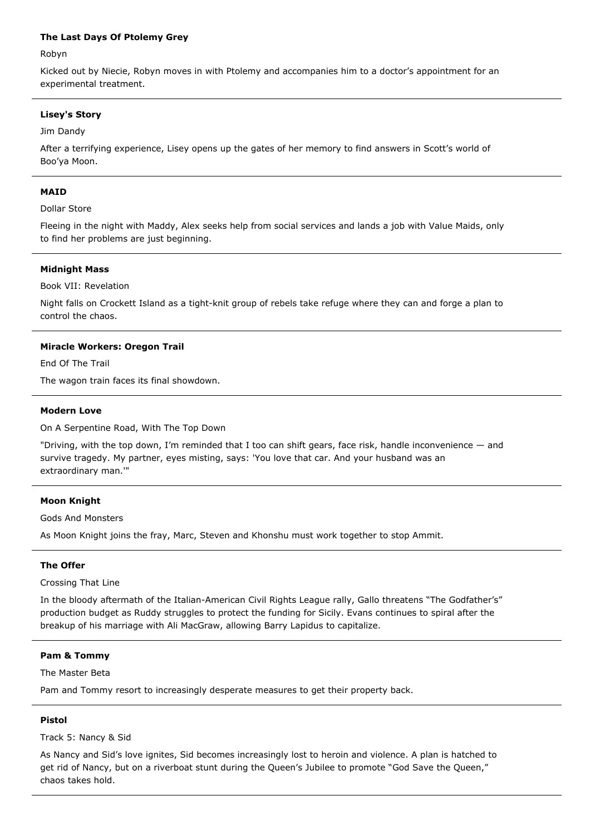## **The Last Days Of Ptolemy Grey**

Robyn

Kicked out by Niecie, Robyn moves in with Ptolemy and accompanies him to a doctor's appointment for an experimental treatment.

## **Lisey's Story**

Jim Dandy

After a terrifying experience, Lisey opens up the gates of her memory to find answers in Scott's world of Boo'ya Moon.

### **MAID**

Dollar Store

Fleeing in the night with Maddy, Alex seeks help from social services and lands a job with Value Maids, only to find her problems are just beginning.

### **Midnight Mass**

Book VII: Revelation

Night falls on Crockett Island as a tight-knit group of rebels take refuge where they can and forge a plan to control the chaos.

### **Miracle Workers: Oregon Trail**

End Of The Trail

The wagon train faces its final showdown.

#### **Modern Love**

On A Serpentine Road, With The Top Down

"Driving, with the top down, I'm reminded that I too can shift gears, face risk, handle inconvenience — and survive tragedy. My partner, eyes misting, says: 'You love that car. And your husband was an extraordinary man.'"

## **Moon Knight**

Gods And Monsters

As Moon Knight joins the fray, Marc, Steven and Khonshu must work together to stop Ammit.

### **The Offer**

Crossing That Line

In the bloody aftermath of the Italian-American Civil Rights League rally, Gallo threatens "The Godfather's" production budget as Ruddy struggles to protect the funding for Sicily. Evans continues to spiral after the breakup of his marriage with Ali MacGraw, allowing Barry Lapidus to capitalize.

### **Pam & Tommy**

The Master Beta

Pam and Tommy resort to increasingly desperate measures to get their property back.

### **Pistol**

Track 5: Nancy & Sid

As Nancy and Sid's love ignites, Sid becomes increasingly lost to heroin and violence. A plan is hatched to get rid of Nancy, but on a riverboat stunt during the Queen's Jubilee to promote "God Save the Queen," chaos takes hold.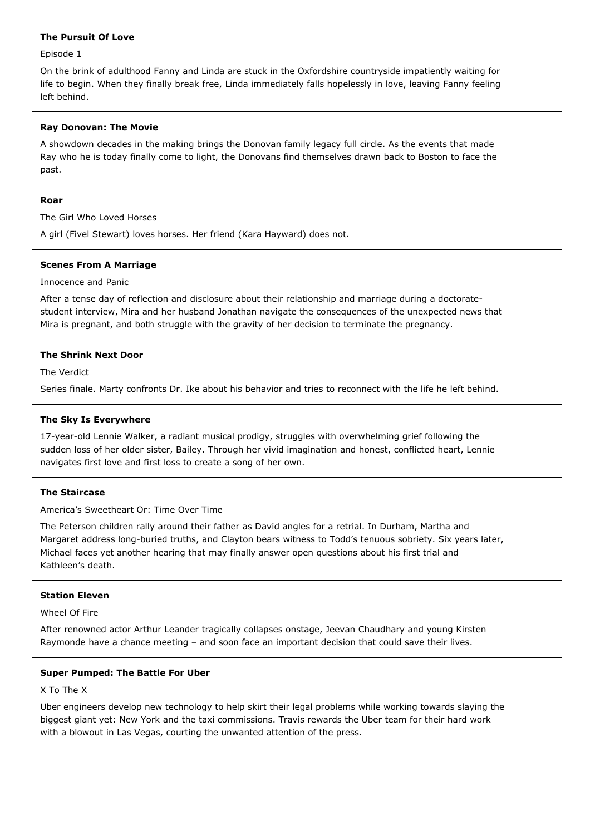## **The Pursuit Of Love**

Episode 1

On the brink of adulthood Fanny and Linda are stuck in the Oxfordshire countryside impatiently waiting for life to begin. When they finally break free, Linda immediately falls hopelessly in love, leaving Fanny feeling left behind.

## **Ray Donovan: The Movie**

A showdown decades in the making brings the Donovan family legacy full circle. As the events that made Ray who he is today finally come to light, the Donovans find themselves drawn back to Boston to face the past.

### **Roar**

The Girl Who Loved Horses

A girl (Fivel Stewart) loves horses. Her friend (Kara Hayward) does not.

### **Scenes From A Marriage**

## Innocence and Panic

After a tense day of reflection and disclosure about their relationship and marriage during a doctoratestudent interview, Mira and her husband Jonathan navigate the consequences of the unexpected news that Mira is pregnant, and both struggle with the gravity of her decision to terminate the pregnancy.

## **The Shrink Next Door**

The Verdict

Series finale. Marty confronts Dr. Ike about his behavior and tries to reconnect with the life he left behind.

### **The Sky Is Everywhere**

17-year-old Lennie Walker, a radiant musical prodigy, struggles with overwhelming grief following the sudden loss of her older sister, Bailey. Through her vivid imagination and honest, conflicted heart, Lennie navigates first love and first loss to create a song of her own.

## **The Staircase**

America's Sweetheart Or: Time Over Time

The Peterson children rally around their father as David angles for a retrial. In Durham, Martha and Margaret address long-buried truths, and Clayton bears witness to Todd's tenuous sobriety. Six years later, Michael faces yet another hearing that may finally answer open questions about his first trial and Kathleen's death.

### **Station Eleven**

Wheel Of Fire

After renowned actor Arthur Leander tragically collapses onstage, Jeevan Chaudhary and young Kirsten Raymonde have a chance meeting – and soon face an important decision that could save their lives.

### **Super Pumped: The Battle For Uber**

X To The X

Uber engineers develop new technology to help skirt their legal problems while working towards slaying the biggest giant yet: New York and the taxi commissions. Travis rewards the Uber team for their hard work with a blowout in Las Vegas, courting the unwanted attention of the press.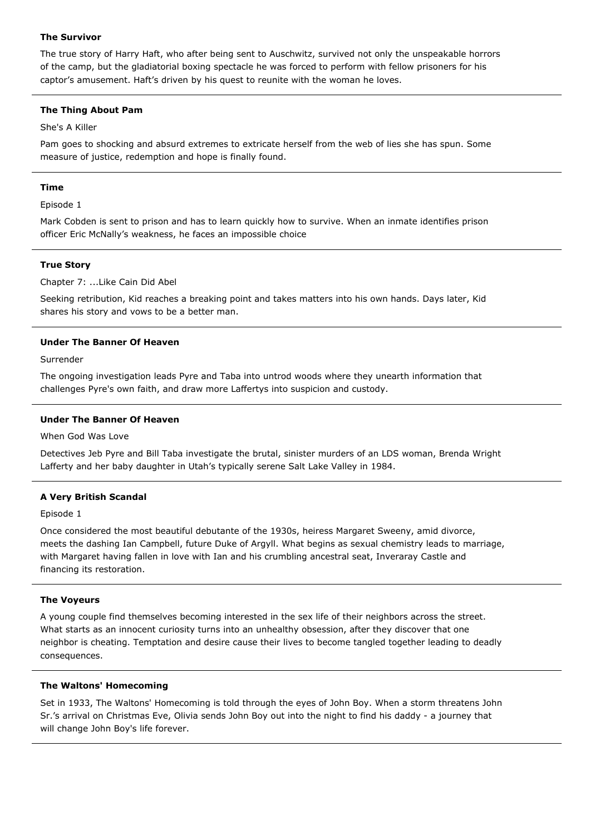# **The Survivor**

The true story of Harry Haft, who after being sent to Auschwitz, survived not only the unspeakable horrors of the camp, but the gladiatorial boxing spectacle he was forced to perform with fellow prisoners for his captor's amusement. Haft's driven by his quest to reunite with the woman he loves.

# **The Thing About Pam**

# She's A Killer

Pam goes to shocking and absurd extremes to extricate herself from the web of lies she has spun. Some measure of justice, redemption and hope is finally found.

# **Time**

Episode 1

Mark Cobden is sent to prison and has to learn quickly how to survive. When an inmate identifies prison officer Eric McNally's weakness, he faces an impossible choice

# **True Story**

Chapter 7: ...Like Cain Did Abel

Seeking retribution, Kid reaches a breaking point and takes matters into his own hands. Days later, Kid shares his story and vows to be a better man.

# **Under The Banner Of Heaven**

Surrender

The ongoing investigation leads Pyre and Taba into untrod woods where they unearth information that challenges Pyre's own faith, and draw more Laffertys into suspicion and custody.

# **Under The Banner Of Heaven**

When God Was Love

Detectives Jeb Pyre and Bill Taba investigate the brutal, sinister murders of an LDS woman, Brenda Wright Lafferty and her baby daughter in Utah's typically serene Salt Lake Valley in 1984.

# **A Very British Scandal**

Episode 1

Once considered the most beautiful debutante of the 1930s, heiress Margaret Sweeny, amid divorce, meets the dashing Ian Campbell, future Duke of Argyll. What begins as sexual chemistry leads to marriage, with Margaret having fallen in love with Ian and his crumbling ancestral seat, Inveraray Castle and financing its restoration.

# **The Voyeurs**

A young couple find themselves becoming interested in the sex life of their neighbors across the street. What starts as an innocent curiosity turns into an unhealthy obsession, after they discover that one neighbor is cheating. Temptation and desire cause their lives to become tangled together leading to deadly consequences.

# **The Waltons' Homecoming**

Set in 1933, The Waltons' Homecoming is told through the eyes of John Boy. When a storm threatens John Sr.'s arrival on Christmas Eve, Olivia sends John Boy out into the night to find his daddy - a journey that will change John Boy's life forever.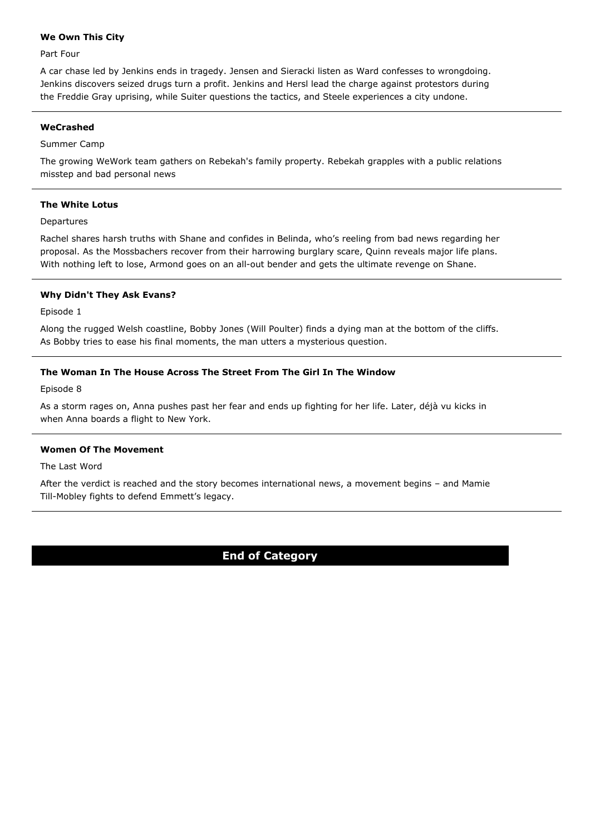# **We Own This City**

Part Four

A car chase led by Jenkins ends in tragedy. Jensen and Sieracki listen as Ward confesses to wrongdoing. Jenkins discovers seized drugs turn a profit. Jenkins and Hersl lead the charge against protestors during the Freddie Gray uprising, while Suiter questions the tactics, and Steele experiences a city undone.

# **WeCrashed**

# Summer Camp

The growing WeWork team gathers on Rebekah's family property. Rebekah grapples with a public relations misstep and bad personal news

# **The White Lotus**

Departures

Rachel shares harsh truths with Shane and confides in Belinda, who's reeling from bad news regarding her proposal. As the Mossbachers recover from their harrowing burglary scare, Quinn reveals major life plans. With nothing left to lose, Armond goes on an all-out bender and gets the ultimate revenge on Shane.

# **Why Didn't They Ask Evans?**

Episode 1

Along the rugged Welsh coastline, Bobby Jones (Will Poulter) finds a dying man at the bottom of the cliffs. As Bobby tries to ease his final moments, the man utters a mysterious question.

# **The Woman In The House Across The Street From The Girl In The Window**

Episode 8

As a storm rages on, Anna pushes past her fear and ends up fighting for her life. Later, déjà vu kicks in when Anna boards a flight to New York.

# **Women Of The Movement**

The Last Word

After the verdict is reached and the story becomes international news, a movement begins – and Mamie Till-Mobley fights to defend Emmett's legacy.

# **End of Category**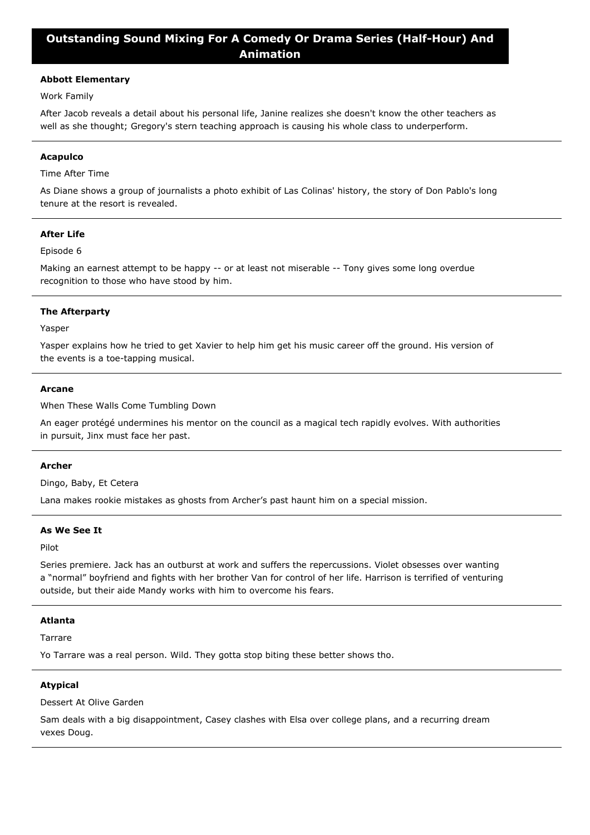# **Outstanding Sound Mixing For A Comedy Or Drama Series (Half-Hour) And Animation**

# **Abbott Elementary**

Work Family

After Jacob reveals a detail about his personal life, Janine realizes she doesn't know the other teachers as well as she thought; Gregory's stern teaching approach is causing his whole class to underperform.

### **Acapulco**

Time After Time

As Diane shows a group of journalists a photo exhibit of Las Colinas' history, the story of Don Pablo's long tenure at the resort is revealed.

# **After Life**

## Episode 6

Making an earnest attempt to be happy -- or at least not miserable -- Tony gives some long overdue recognition to those who have stood by him.

## **The Afterparty**

Yasper

Yasper explains how he tried to get Xavier to help him get his music career off the ground. His version of the events is a toe-tapping musical.

#### **Arcane**

When These Walls Come Tumbling Down

An eager protégé undermines his mentor on the council as a magical tech rapidly evolves. With authorities in pursuit, Jinx must face her past.

### **Archer**

Dingo, Baby, Et Cetera

Lana makes rookie mistakes as ghosts from Archer's past haunt him on a special mission.

### **As We See It**

Pilot

Series premiere. Jack has an outburst at work and suffers the repercussions. Violet obsesses over wanting a "normal" boyfriend and fights with her brother Van for control of her life. Harrison is terrified of venturing outside, but their aide Mandy works with him to overcome his fears.

## **Atlanta**

Tarrare

Yo Tarrare was a real person. Wild. They gotta stop biting these better shows tho.

### **Atypical**

Dessert At Olive Garden

Sam deals with a big disappointment, Casey clashes with Elsa over college plans, and a recurring dream vexes Doug.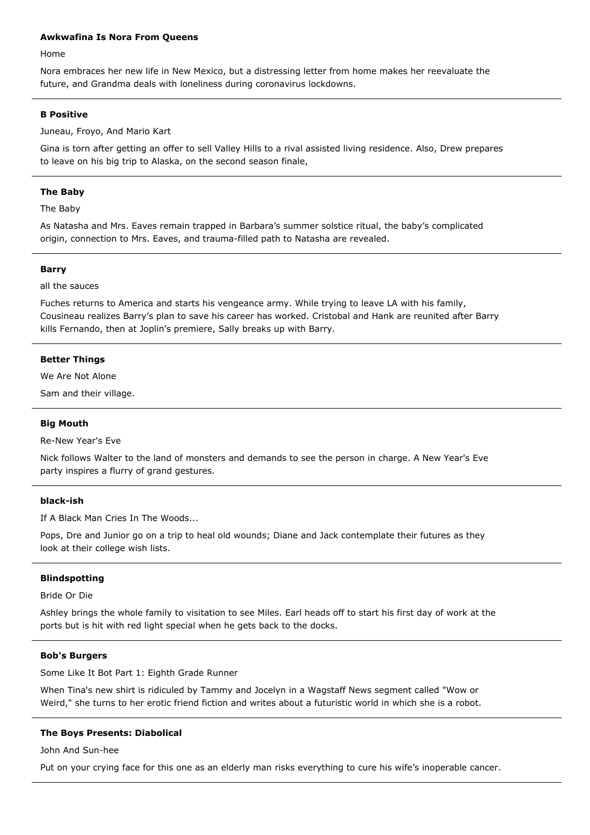## **Awkwafina Is Nora From Queens**

Home

Nora embraces her new life in New Mexico, but a distressing letter from home makes her reevaluate the future, and Grandma deals with loneliness during coronavirus lockdowns.

## **B Positive**

Juneau, Froyo, And Mario Kart

Gina is torn after getting an offer to sell Valley Hills to a rival assisted living residence. Also, Drew prepares to leave on his big trip to Alaska, on the second season finale,

## **The Baby**

The Baby

As Natasha and Mrs. Eaves remain trapped in Barbara's summer solstice ritual, the baby's complicated origin, connection to Mrs. Eaves, and trauma-filled path to Natasha are revealed.

### **Barry**

## all the sauces

Fuches returns to America and starts his vengeance army. While trying to leave LA with his family, Cousineau realizes Barry's plan to save his career has worked. Cristobal and Hank are reunited after Barry kills Fernando, then at Joplin's premiere, Sally breaks up with Barry.

## **Better Things**

We Are Not Alone

Sam and their village.

## **Big Mouth**

Re-New Year's Eve

Nick follows Walter to the land of monsters and demands to see the person in charge. A New Year's Eve party inspires a flurry of grand gestures.

## **black-ish**

If A Black Man Cries In The Woods...

Pops, Dre and Junior go on a trip to heal old wounds; Diane and Jack contemplate their futures as they look at their college wish lists.

## **Blindspotting**

Bride Or Die

Ashley brings the whole family to visitation to see Miles. Earl heads off to start his first day of work at the ports but is hit with red light special when he gets back to the docks.

## **Bob's Burgers**

Some Like It Bot Part 1: Eighth Grade Runner

When Tina's new shirt is ridiculed by Tammy and Jocelyn in a Wagstaff News segment called "Wow or Weird," she turns to her erotic friend fiction and writes about a futuristic world in which she is a robot.

## **The Boys Presents: Diabolical**

John And Sun-hee

Put on your crying face for this one as an elderly man risks everything to cure his wife's inoperable cancer.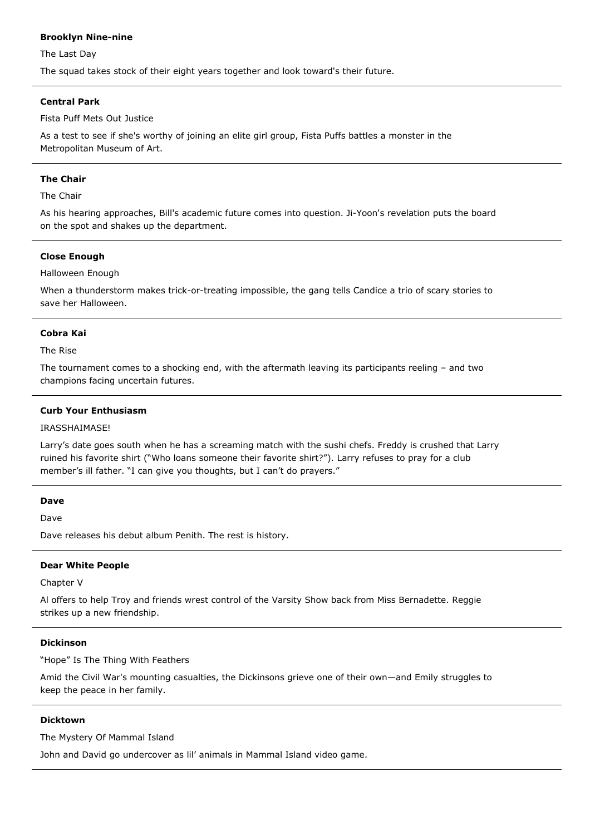# **Brooklyn Nine-nine**

The Last Day

The squad takes stock of their eight years together and look toward's their future.

# **Central Park**

Fista Puff Mets Out Justice

As a test to see if she's worthy of joining an elite girl group, Fista Puffs battles a monster in the Metropolitan Museum of Art.

## **The Chair**

### The Chair

As his hearing approaches, Bill's academic future comes into question. Ji-Yoon's revelation puts the board on the spot and shakes up the department.

## **Close Enough**

Halloween Enough

When a thunderstorm makes trick-or-treating impossible, the gang tells Candice a trio of scary stories to save her Halloween.

### **Cobra Kai**

The Rise

The tournament comes to a shocking end, with the aftermath leaving its participants reeling – and two champions facing uncertain futures.

## **Curb Your Enthusiasm**

### IRASSHAIMASE!

Larry's date goes south when he has a screaming match with the sushi chefs. Freddy is crushed that Larry ruined his favorite shirt ("Who loans someone their favorite shirt?"). Larry refuses to pray for a club member's ill father. "I can give you thoughts, but I can't do prayers."

### **Dave**

Dave

Dave releases his debut album Penith. The rest is history.

### **Dear White People**

Chapter V

Al offers to help Troy and friends wrest control of the Varsity Show back from Miss Bernadette. Reggie strikes up a new friendship.

### **Dickinson**

"Hope" Is The Thing With Feathers

Amid the Civil War's mounting casualties, the Dickinsons grieve one of their own—and Emily struggles to keep the peace in her family.

### **Dicktown**

The Mystery Of Mammal Island

John and David go undercover as lil' animals in Mammal Island video game.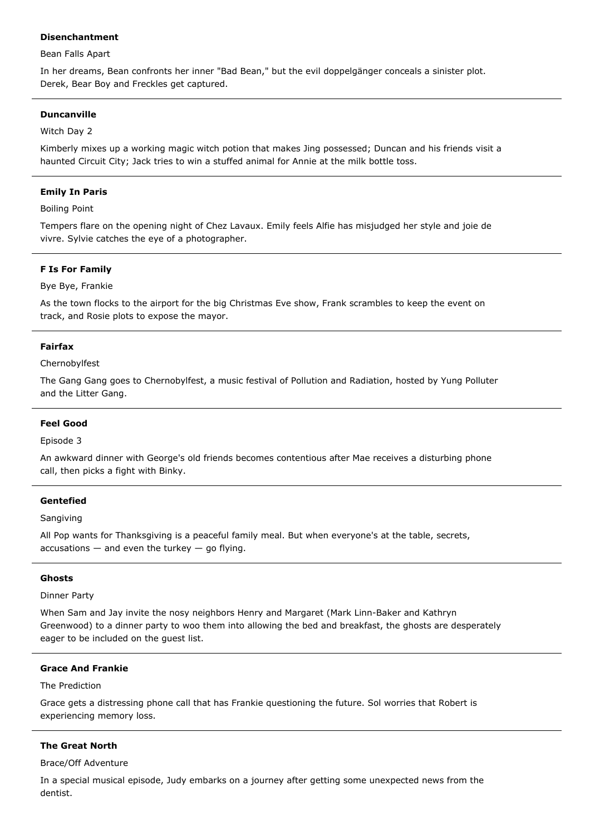## **Disenchantment**

### Bean Falls Apart

In her dreams, Bean confronts her inner "Bad Bean," but the evil doppelgänger conceals a sinister plot. Derek, Bear Boy and Freckles get captured.

## **Duncanville**

## Witch Day 2

Kimberly mixes up a working magic witch potion that makes Jing possessed; Duncan and his friends visit a haunted Circuit City; Jack tries to win a stuffed animal for Annie at the milk bottle toss.

## **Emily In Paris**

Boiling Point

Tempers flare on the opening night of Chez Lavaux. Emily feels Alfie has misjudged her style and joie de vivre. Sylvie catches the eye of a photographer.

## **F Is For Family**

## Bye Bye, Frankie

As the town flocks to the airport for the big Christmas Eve show, Frank scrambles to keep the event on track, and Rosie plots to expose the mayor.

## **Fairfax**

## Chernobylfest

The Gang Gang goes to Chernobylfest, a music festival of Pollution and Radiation, hosted by Yung Polluter and the Litter Gang.

## **Feel Good**

## Episode 3

An awkward dinner with George's old friends becomes contentious after Mae receives a disturbing phone call, then picks a fight with Binky.

## **Gentefied**

## Sangiving

All Pop wants for Thanksgiving is a peaceful family meal. But when everyone's at the table, secrets,  $accusations - and even the turkey - go flying.$ 

## **Ghosts**

## Dinner Party

When Sam and Jay invite the nosy neighbors Henry and Margaret (Mark Linn-Baker and Kathryn Greenwood) to a dinner party to woo them into allowing the bed and breakfast, the ghosts are desperately eager to be included on the guest list.

# **Grace And Frankie**

### The Prediction

Grace gets a distressing phone call that has Frankie questioning the future. Sol worries that Robert is experiencing memory loss.

## **The Great North**

## Brace/Off Adventure

In a special musical episode, Judy embarks on a journey after getting some unexpected news from the dentist.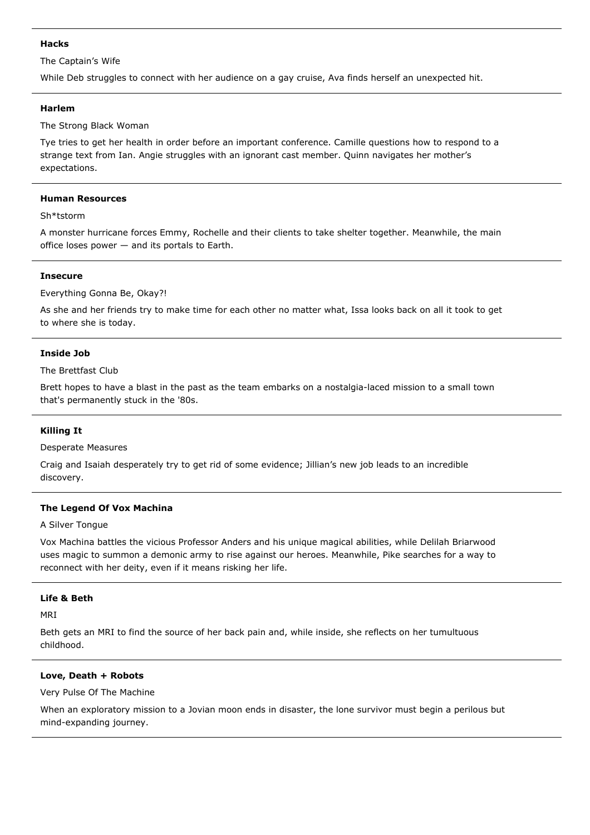## **Hacks**

The Captain's Wife

While Deb struggles to connect with her audience on a gay cruise, Ava finds herself an unexpected hit.

## **Harlem**

The Strong Black Woman

Tye tries to get her health in order before an important conference. Camille questions how to respond to a strange text from Ian. Angie struggles with an ignorant cast member. Quinn navigates her mother's expectations.

## **Human Resources**

## Sh\*tstorm

A monster hurricane forces Emmy, Rochelle and their clients to take shelter together. Meanwhile, the main office loses power — and its portals to Earth.

# **Insecure**

Everything Gonna Be, Okay?!

As she and her friends try to make time for each other no matter what, Issa looks back on all it took to get to where she is today.

# **Inside Job**

The Brettfast Club

Brett hopes to have a blast in the past as the team embarks on a nostalgia-laced mission to a small town that's permanently stuck in the '80s.

# **Killing It**

Desperate Measures

Craig and Isaiah desperately try to get rid of some evidence; Jillian's new job leads to an incredible discovery.

# **The Legend Of Vox Machina**

A Silver Tongue

Vox Machina battles the vicious Professor Anders and his unique magical abilities, while Delilah Briarwood uses magic to summon a demonic army to rise against our heroes. Meanwhile, Pike searches for a way to reconnect with her deity, even if it means risking her life.

## **Life & Beth**

MRI

Beth gets an MRI to find the source of her back pain and, while inside, she reflects on her tumultuous childhood.

## **Love, Death + Robots**

Very Pulse Of The Machine

When an exploratory mission to a Jovian moon ends in disaster, the lone survivor must begin a perilous but mind-expanding journey.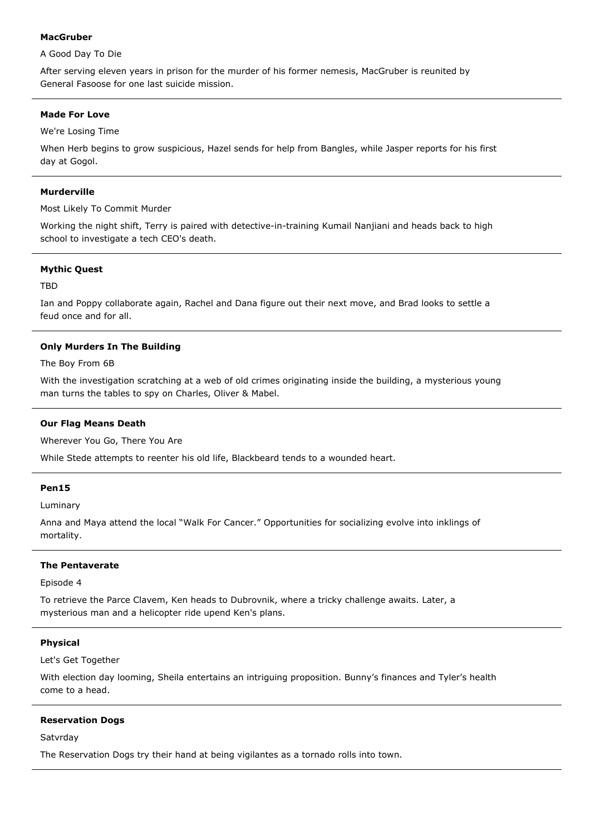## **MacGruber**

# A Good Day To Die

After serving eleven years in prison for the murder of his former nemesis, MacGruber is reunited by General Fasoose for one last suicide mission.

## **Made For Love**

We're Losing Time

When Herb begins to grow suspicious, Hazel sends for help from Bangles, while Jasper reports for his first day at Gogol.

## **Murderville**

Most Likely To Commit Murder

Working the night shift, Terry is paired with detective-in-training Kumail Nanjiani and heads back to high school to investigate a tech CEO's death.

## **Mythic Quest**

TBD

Ian and Poppy collaborate again, Rachel and Dana figure out their next move, and Brad looks to settle a feud once and for all.

# **Only Murders In The Building**

The Boy From 6B

With the investigation scratching at a web of old crimes originating inside the building, a mysterious young man turns the tables to spy on Charles, Oliver & Mabel.

# **Our Flag Means Death**

Wherever You Go, There You Are

While Stede attempts to reenter his old life, Blackbeard tends to a wounded heart.

## **Pen15**

Luminary

Anna and Maya attend the local "Walk For Cancer." Opportunities for socializing evolve into inklings of mortality.

## **The Pentaverate**

Episode 4

To retrieve the Parce Clavem, Ken heads to Dubrovnik, where a tricky challenge awaits. Later, a mysterious man and a helicopter ride upend Ken's plans.

## **Physical**

Let's Get Together

With election day looming, Sheila entertains an intriguing proposition. Bunny's finances and Tyler's health come to a head.

## **Reservation Dogs**

**Satvrday** 

The Reservation Dogs try their hand at being vigilantes as a tornado rolls into town.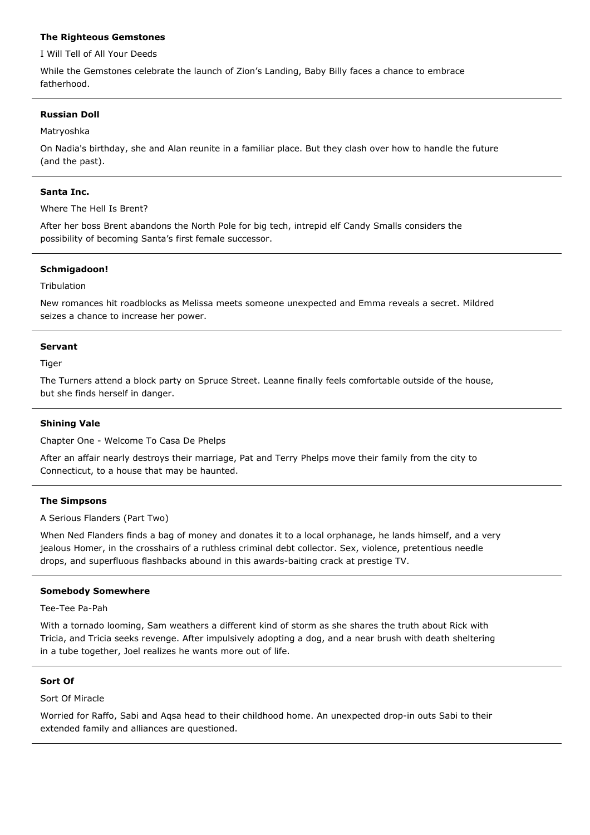## **The Righteous Gemstones**

I Will Tell of All Your Deeds

While the Gemstones celebrate the launch of Zion's Landing, Baby Billy faces a chance to embrace fatherhood.

## **Russian Doll**

### Matryoshka

On Nadia's birthday, she and Alan reunite in a familiar place. But they clash over how to handle the future (and the past).

### **Santa Inc.**

Where The Hell Is Brent?

After her boss Brent abandons the North Pole for big tech, intrepid elf Candy Smalls considers the possibility of becoming Santa's first female successor.

## **Schmigadoon!**

Tribulation

New romances hit roadblocks as Melissa meets someone unexpected and Emma reveals a secret. Mildred seizes a chance to increase her power.

### **Servant**

Tiger

The Turners attend a block party on Spruce Street. Leanne finally feels comfortable outside of the house, but she finds herself in danger.

## **Shining Vale**

Chapter One - Welcome To Casa De Phelps

After an affair nearly destroys their marriage, Pat and Terry Phelps move their family from the city to Connecticut, to a house that may be haunted.

## **The Simpsons**

A Serious Flanders (Part Two)

When Ned Flanders finds a bag of money and donates it to a local orphanage, he lands himself, and a very jealous Homer, in the crosshairs of a ruthless criminal debt collector. Sex, violence, pretentious needle drops, and superfluous flashbacks abound in this awards-baiting crack at prestige TV.

# **Somebody Somewhere**

Tee-Tee Pa-Pah

With a tornado looming, Sam weathers a different kind of storm as she shares the truth about Rick with Tricia, and Tricia seeks revenge. After impulsively adopting a dog, and a near brush with death sheltering in a tube together, Joel realizes he wants more out of life.

### **Sort Of**

Sort Of Miracle

Worried for Raffo, Sabi and Aqsa head to their childhood home. An unexpected drop-in outs Sabi to their extended family and alliances are questioned.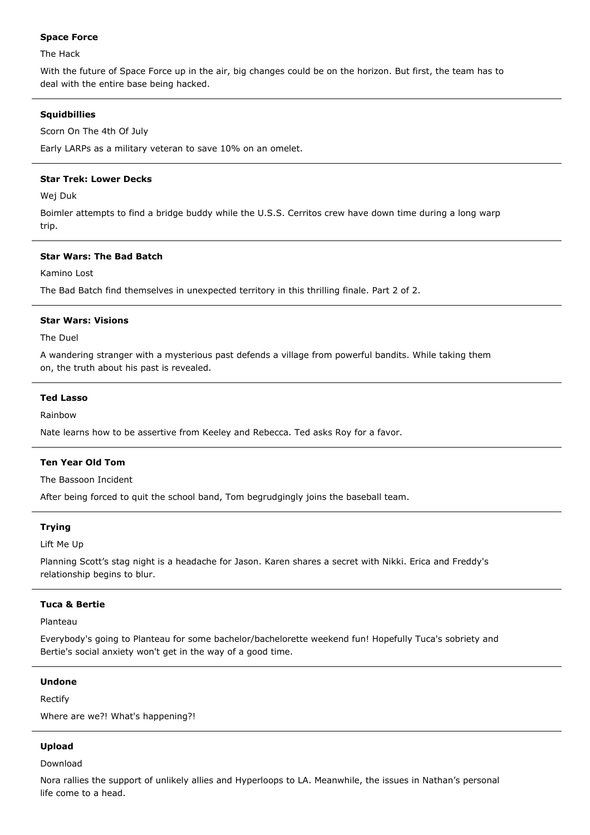## **Space Force**

The Hack

With the future of Space Force up in the air, big changes could be on the horizon. But first, the team has to deal with the entire base being hacked.

## **Squidbillies**

Scorn On The 4th Of July

Early LARPs as a military veteran to save 10% on an omelet.

## **Star Trek: Lower Decks**

Wej Duk

Boimler attempts to find a bridge buddy while the U.S.S. Cerritos crew have down time during a long warp trip.

## **Star Wars: The Bad Batch**

Kamino Lost

The Bad Batch find themselves in unexpected territory in this thrilling finale. Part 2 of 2.

## **Star Wars: Visions**

The Duel

A wandering stranger with a mysterious past defends a village from powerful bandits. While taking them on, the truth about his past is revealed.

## **Ted Lasso**

Rainbow

Nate learns how to be assertive from Keeley and Rebecca. Ted asks Roy for a favor.

## **Ten Year Old Tom**

The Bassoon Incident

After being forced to quit the school band, Tom begrudgingly joins the baseball team.

## **Trying**

Lift Me Up

Planning Scott's stag night is a headache for Jason. Karen shares a secret with Nikki. Erica and Freddy's relationship begins to blur.

# **Tuca & Bertie**

Planteau

Everybody's going to Planteau for some bachelor/bachelorette weekend fun! Hopefully Tuca's sobriety and Bertie's social anxiety won't get in the way of a good time.

### **Undone**

Rectify

Where are we?! What's happening?!

## **Upload**

Download

Nora rallies the support of unlikely allies and Hyperloops to LA. Meanwhile, the issues in Nathan's personal life come to a head.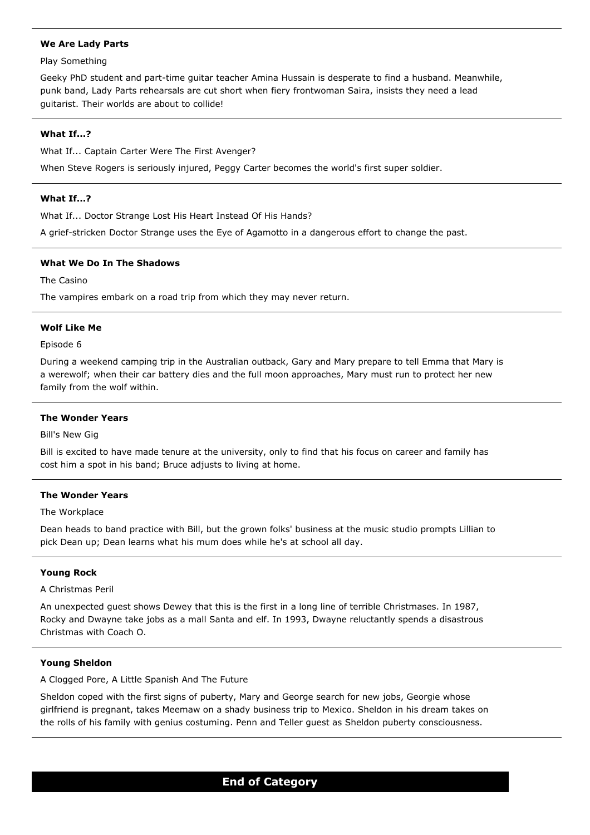## **We Are Lady Parts**

## Play Something

Geeky PhD student and part-time guitar teacher Amina Hussain is desperate to find a husband. Meanwhile, punk band, Lady Parts rehearsals are cut short when fiery frontwoman Saira, insists they need a lead guitarist. Their worlds are about to collide!

# **What If...?**

What If... Captain Carter Were The First Avenger?

When Steve Rogers is seriously injured, Peggy Carter becomes the world's first super soldier.

## **What If...?**

What If... Doctor Strange Lost His Heart Instead Of His Hands?

A grief-stricken Doctor Strange uses the Eye of Agamotto in a dangerous effort to change the past.

## **What We Do In The Shadows**

The Casino

The vampires embark on a road trip from which they may never return.

## **Wolf Like Me**

## Episode 6

During a weekend camping trip in the Australian outback, Gary and Mary prepare to tell Emma that Mary is a werewolf; when their car battery dies and the full moon approaches, Mary must run to protect her new family from the wolf within.

## **The Wonder Years**

Bill's New Gig

Bill is excited to have made tenure at the university, only to find that his focus on career and family has cost him a spot in his band; Bruce adjusts to living at home.

## **The Wonder Years**

## The Workplace

Dean heads to band practice with Bill, but the grown folks' business at the music studio prompts Lillian to pick Dean up; Dean learns what his mum does while he's at school all day.

## **Young Rock**

## A Christmas Peril

An unexpected guest shows Dewey that this is the first in a long line of terrible Christmases. In 1987, Rocky and Dwayne take jobs as a mall Santa and elf. In 1993, Dwayne reluctantly spends a disastrous Christmas with Coach O.

## **Young Sheldon**

A Clogged Pore, A Little Spanish And The Future

Sheldon coped with the first signs of puberty, Mary and George search for new jobs, Georgie whose girlfriend is pregnant, takes Meemaw on a shady business trip to Mexico. Sheldon in his dream takes on the rolls of his family with genius costuming. Penn and Teller guest as Sheldon puberty consciousness.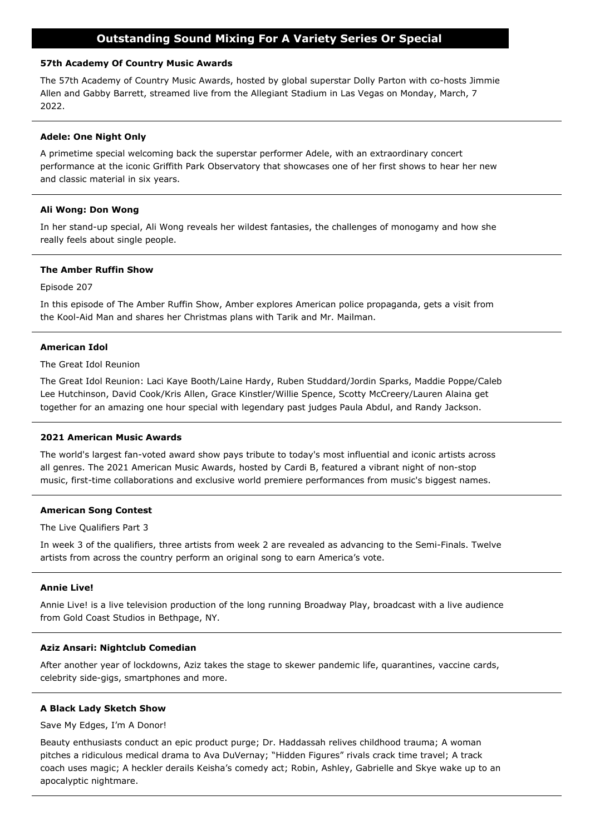# **Outstanding Sound Mixing For A Variety Series Or Special**

## **57th Academy Of Country Music Awards**

The 57th Academy of Country Music Awards, hosted by global superstar Dolly Parton with co-hosts Jimmie Allen and Gabby Barrett, streamed live from the Allegiant Stadium in Las Vegas on Monday, March, 7 2022.

## **Adele: One Night Only**

A primetime special welcoming back the superstar performer Adele, with an extraordinary concert performance at the iconic Griffith Park Observatory that showcases one of her first shows to hear her new and classic material in six years.

## **Ali Wong: Don Wong**

In her stand-up special, Ali Wong reveals her wildest fantasies, the challenges of monogamy and how she really feels about single people.

## **The Amber Ruffin Show**

Episode 207

In this episode of The Amber Ruffin Show, Amber explores American police propaganda, gets a visit from the Kool-Aid Man and shares her Christmas plans with Tarik and Mr. Mailman.

## **American Idol**

The Great Idol Reunion

The Great Idol Reunion: Laci Kaye Booth/Laine Hardy, Ruben Studdard/Jordin Sparks, Maddie Poppe/Caleb Lee Hutchinson, David Cook/Kris Allen, Grace Kinstler/Willie Spence, Scotty McCreery/Lauren Alaina get together for an amazing one hour special with legendary past judges Paula Abdul, and Randy Jackson.

## **2021 American Music Awards**

The world's largest fan-voted award show pays tribute to today's most influential and iconic artists across all genres. The 2021 American Music Awards, hosted by Cardi B, featured a vibrant night of non-stop music, first-time collaborations and exclusive world premiere performances from music's biggest names.

## **American Song Contest**

The Live Qualifiers Part 3

In week 3 of the qualifiers, three artists from week 2 are revealed as advancing to the Semi-Finals. Twelve artists from across the country perform an original song to earn America's vote.

## **Annie Live!**

Annie Live! is a live television production of the long running Broadway Play, broadcast with a live audience from Gold Coast Studios in Bethpage, NY.

## **Aziz Ansari: Nightclub Comedian**

After another year of lockdowns, Aziz takes the stage to skewer pandemic life, quarantines, vaccine cards, celebrity side-gigs, smartphones and more.

## **A Black Lady Sketch Show**

Save My Edges, I'm A Donor!

Beauty enthusiasts conduct an epic product purge; Dr. Haddassah relives childhood trauma; A woman pitches a ridiculous medical drama to Ava DuVernay; "Hidden Figures" rivals crack time travel; A track coach uses magic; A heckler derails Keisha's comedy act; Robin, Ashley, Gabrielle and Skye wake up to an apocalyptic nightmare.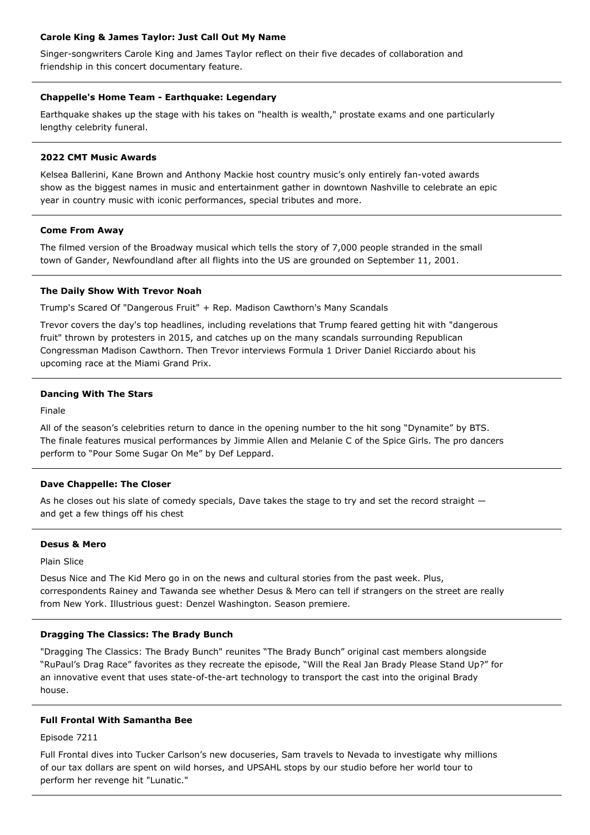## **Carole King & James Taylor: Just Call Out My Name**

Singer-songwriters Carole King and James Taylor reflect on their five decades of collaboration and friendship in this concert documentary feature.

## **Chappelle's Home Team - Earthquake: Legendary**

Earthquake shakes up the stage with his takes on "health is wealth," prostate exams and one particularly lengthy celebrity funeral.

## **2022 CMT Music Awards**

Kelsea Ballerini, Kane Brown and Anthony Mackie host country music's only entirely fan-voted awards show as the biggest names in music and entertainment gather in downtown Nashville to celebrate an epic year in country music with iconic performances, special tributes and more.

## **Come From Away**

The filmed version of the Broadway musical which tells the story of 7,000 people stranded in the small town of Gander, Newfoundland after all flights into the US are grounded on September 11, 2001.

## **The Daily Show With Trevor Noah**

Trump's Scared Of "Dangerous Fruit" + Rep. Madison Cawthorn's Many Scandals

Trevor covers the day's top headlines, including revelations that Trump feared getting hit with "dangerous fruit" thrown by protesters in 2015, and catches up on the many scandals surrounding Republican Congressman Madison Cawthorn. Then Trevor interviews Formula 1 Driver Daniel Ricciardo about his upcoming race at the Miami Grand Prix.

## **Dancing With The Stars**

Finale

All of the season's celebrities return to dance in the opening number to the hit song "Dynamite" by BTS. The finale features musical performances by Jimmie Allen and Melanie C of the Spice Girls. The pro dancers perform to "Pour Some Sugar On Me" by Def Leppard.

## **Dave Chappelle: The Closer**

As he closes out his slate of comedy specials, Dave takes the stage to try and set the record straight  $$ and get a few things off his chest

### **Desus & Mero**

Plain Slice

Desus Nice and The Kid Mero go in on the news and cultural stories from the past week. Plus, correspondents Rainey and Tawanda see whether Desus & Mero can tell if strangers on the street are really from New York. Illustrious guest: Denzel Washington. Season premiere.

## **Dragging The Classics: The Brady Bunch**

"Dragging The Classics: The Brady Bunch" reunites "The Brady Bunch" original cast members alongside "RuPaul's Drag Race" favorites as they recreate the episode, "Will the Real Jan Brady Please Stand Up?" for an innovative event that uses state-of-the-art technology to transport the cast into the original Brady house.

## **Full Frontal With Samantha Bee**

Episode 7211

Full Frontal dives into Tucker Carlson's new docuseries, Sam travels to Nevada to investigate why millions of our tax dollars are spent on wild horses, and UPSAHL stops by our studio before her world tour to perform her revenge hit "Lunatic."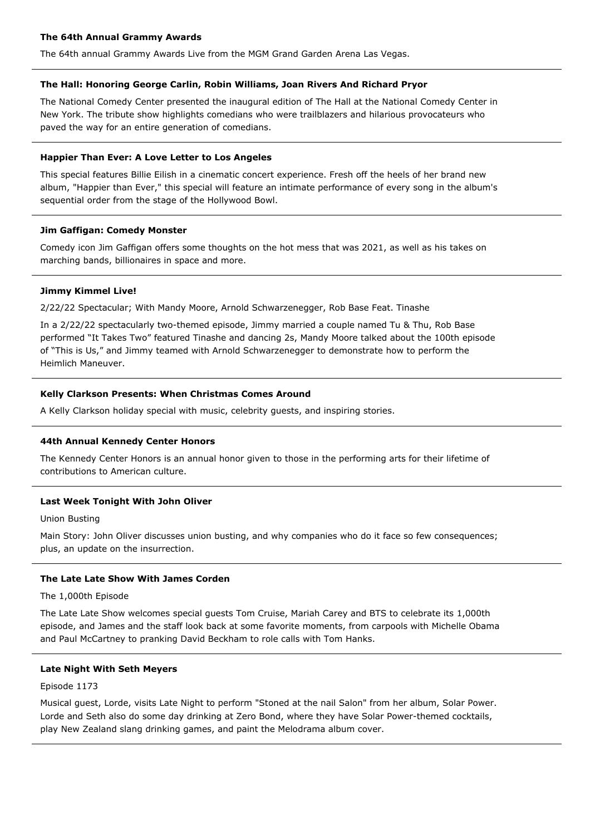## **The 64th Annual Grammy Awards**

The 64th annual Grammy Awards Live from the MGM Grand Garden Arena Las Vegas.

## **The Hall: Honoring George Carlin, Robin Williams, Joan Rivers And Richard Pryor**

The National Comedy Center presented the inaugural edition of The Hall at the National Comedy Center in New York. The tribute show highlights comedians who were trailblazers and hilarious provocateurs who paved the way for an entire generation of comedians.

## **Happier Than Ever: A Love Letter to Los Angeles**

This special features Billie Eilish in a cinematic concert experience. Fresh off the heels of her brand new album, "Happier than Ever," this special will feature an intimate performance of every song in the album's sequential order from the stage of the Hollywood Bowl.

### **Jim Gaffigan: Comedy Monster**

Comedy icon Jim Gaffigan offers some thoughts on the hot mess that was 2021, as well as his takes on marching bands, billionaires in space and more.

### **Jimmy Kimmel Live!**

2/22/22 Spectacular; With Mandy Moore, Arnold Schwarzenegger, Rob Base Feat. Tinashe

In a 2/22/22 spectacularly two-themed episode, Jimmy married a couple named Tu & Thu, Rob Base performed "It Takes Two" featured Tinashe and dancing 2s, Mandy Moore talked about the 100th episode of "This is Us," and Jimmy teamed with Arnold Schwarzenegger to demonstrate how to perform the Heimlich Maneuver.

### **Kelly Clarkson Presents: When Christmas Comes Around**

A Kelly Clarkson holiday special with music, celebrity guests, and inspiring stories.

## **44th Annual Kennedy Center Honors**

The Kennedy Center Honors is an annual honor given to those in the performing arts for their lifetime of contributions to American culture.

## **Last Week Tonight With John Oliver**

### Union Busting

Main Story: John Oliver discusses union busting, and why companies who do it face so few consequences; plus, an update on the insurrection.

# **The Late Late Show With James Corden**

## The 1,000th Episode

The Late Late Show welcomes special guests Tom Cruise, Mariah Carey and BTS to celebrate its 1,000th episode, and James and the staff look back at some favorite moments, from carpools with Michelle Obama and Paul McCartney to pranking David Beckham to role calls with Tom Hanks.

# **Late Night With Seth Meyers**

### Episode 1173

Musical guest, Lorde, visits Late Night to perform "Stoned at the nail Salon" from her album, Solar Power. Lorde and Seth also do some day drinking at Zero Bond, where they have Solar Power-themed cocktails, play New Zealand slang drinking games, and paint the Melodrama album cover.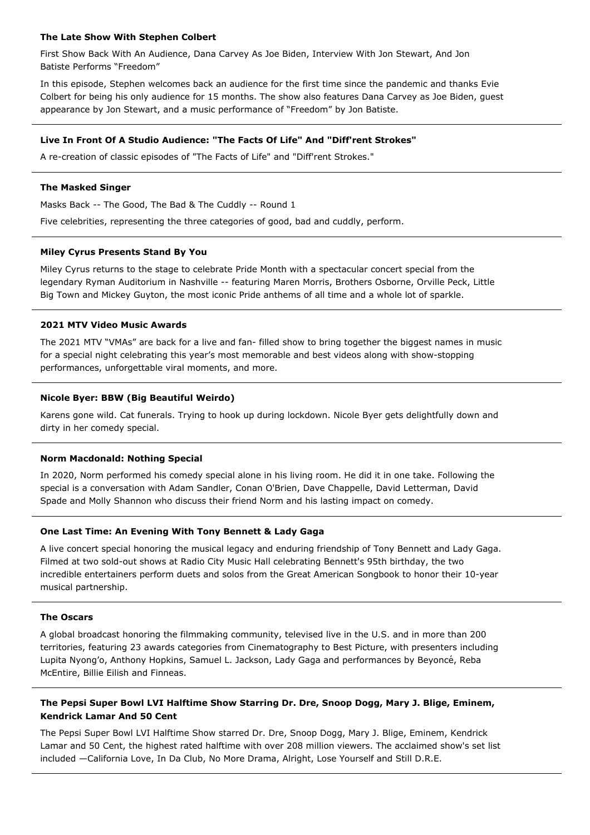## **The Late Show With Stephen Colbert**

First Show Back With An Audience, Dana Carvey As Joe Biden, Interview With Jon Stewart, And Jon Batiste Performs "Freedom"

In this episode, Stephen welcomes back an audience for the first time since the pandemic and thanks Evie Colbert for being his only audience for 15 months. The show also features Dana Carvey as Joe Biden, guest appearance by Jon Stewart, and a music performance of "Freedom" by Jon Batiste.

## **Live In Front Of A Studio Audience: "The Facts Of Life" And "Diff'rent Strokes"**

A re-creation of classic episodes of "The Facts of Life" and "Diff'rent Strokes."

### **The Masked Singer**

Masks Back -- The Good, The Bad & The Cuddly -- Round 1

Five celebrities, representing the three categories of good, bad and cuddly, perform.

### **Miley Cyrus Presents Stand By You**

Miley Cyrus returns to the stage to celebrate Pride Month with a spectacular concert special from the legendary Ryman Auditorium in Nashville -- featuring Maren Morris, Brothers Osborne, Orville Peck, Little Big Town and Mickey Guyton, the most iconic Pride anthems of all time and a whole lot of sparkle.

## **2021 MTV Video Music Awards**

The 2021 MTV "VMAs" are back for a live and fan- filled show to bring together the biggest names in music for a special night celebrating this year's most memorable and best videos along with show-stopping performances, unforgettable viral moments, and more.

### **Nicole Byer: BBW (Big Beautiful Weirdo)**

Karens gone wild. Cat funerals. Trying to hook up during lockdown. Nicole Byer gets delightfully down and dirty in her comedy special.

### **Norm Macdonald: Nothing Special**

In 2020, Norm performed his comedy special alone in his living room. He did it in one take. Following the special is a conversation with Adam Sandler, Conan O'Brien, Dave Chappelle, David Letterman, David Spade and Molly Shannon who discuss their friend Norm and his lasting impact on comedy.

## **One Last Time: An Evening With Tony Bennett & Lady Gaga**

A live concert special honoring the musical legacy and enduring friendship of Tony Bennett and Lady Gaga. Filmed at two sold-out shows at Radio City Music Hall celebrating Bennett's 95th birthday, the two incredible entertainers perform duets and solos from the Great American Songbook to honor their 10-year musical partnership.

## **The Oscars**

A global broadcast honoring the filmmaking community, televised live in the U.S. and in more than 200 territories, featuring 23 awards categories from Cinematography to Best Picture, with presenters including Lupita Nyong'o, Anthony Hopkins, Samuel L. Jackson, Lady Gaga and performances by Beyonće, Reba McEntire, Billie Eilish and Finneas.

# **The Pepsi Super Bowl LVI Halftime Show Starring Dr. Dre, Snoop Dogg, Mary J. Blige, Eminem, Kendrick Lamar And 50 Cent**

The Pepsi Super Bowl LVI Halftime Show starred Dr. Dre, Snoop Dogg, Mary J. Blige, Eminem, Kendrick Lamar and 50 Cent, the highest rated halftime with over 208 million viewers. The acclaimed show's set list included —California Love, In Da Club, No More Drama, Alright, Lose Yourself and Still D.R.E.